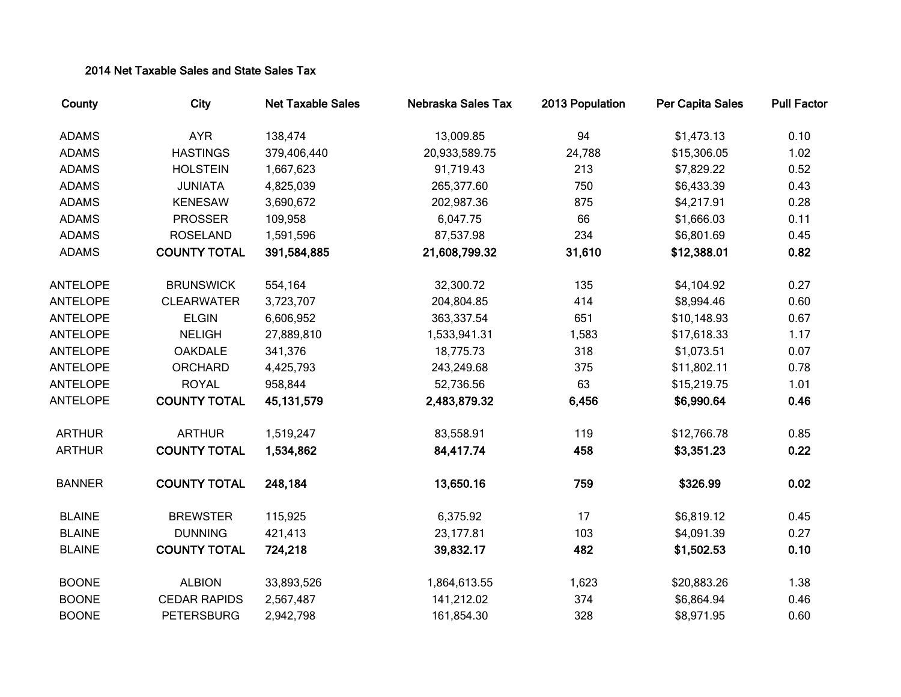## 2014 Net Taxable Sales and State Sales Tax

| County          | City                | <b>Net Taxable Sales</b> | Nebraska Sales Tax | 2013 Population | <b>Per Capita Sales</b> | <b>Pull Factor</b> |
|-----------------|---------------------|--------------------------|--------------------|-----------------|-------------------------|--------------------|
| <b>ADAMS</b>    | <b>AYR</b>          | 138,474                  | 13,009.85          | 94              | \$1,473.13              | 0.10               |
| <b>ADAMS</b>    | <b>HASTINGS</b>     | 379,406,440              | 20,933,589.75      | 24,788          | \$15,306.05             | 1.02               |
| <b>ADAMS</b>    | <b>HOLSTEIN</b>     | 1,667,623                | 91,719.43          | 213             | \$7,829.22              | 0.52               |
| <b>ADAMS</b>    | <b>JUNIATA</b>      | 4,825,039                | 265,377.60         | 750             | \$6,433.39              | 0.43               |
| <b>ADAMS</b>    | <b>KENESAW</b>      | 3,690,672                | 202,987.36         | 875             | \$4,217.91              | 0.28               |
| <b>ADAMS</b>    | <b>PROSSER</b>      | 109,958                  | 6,047.75           | 66              | \$1,666.03              | 0.11               |
| <b>ADAMS</b>    | <b>ROSELAND</b>     | 1,591,596                | 87,537.98          | 234             | \$6,801.69              | 0.45               |
| <b>ADAMS</b>    | <b>COUNTY TOTAL</b> | 391,584,885              | 21,608,799.32      | 31,610          | \$12,388.01             | 0.82               |
| <b>ANTELOPE</b> | <b>BRUNSWICK</b>    | 554,164                  | 32,300.72          | 135             | \$4,104.92              | 0.27               |
| <b>ANTELOPE</b> | <b>CLEARWATER</b>   | 3,723,707                | 204,804.85         | 414             | \$8,994.46              | 0.60               |
| <b>ANTELOPE</b> | <b>ELGIN</b>        | 6,606,952                | 363,337.54         | 651             | \$10,148.93             | 0.67               |
| <b>ANTELOPE</b> | <b>NELIGH</b>       | 27,889,810               | 1,533,941.31       | 1,583           | \$17,618.33             | 1.17               |
| <b>ANTELOPE</b> | <b>OAKDALE</b>      | 341,376                  | 18,775.73          | 318             | \$1,073.51              | 0.07               |
| <b>ANTELOPE</b> | <b>ORCHARD</b>      | 4,425,793                | 243,249.68         | 375             | \$11,802.11             | 0.78               |
| <b>ANTELOPE</b> | <b>ROYAL</b>        | 958,844                  | 52,736.56          | 63              | \$15,219.75             | 1.01               |
| <b>ANTELOPE</b> | <b>COUNTY TOTAL</b> | 45, 131, 579             | 2,483,879.32       | 6,456           | \$6,990.64              | 0.46               |
| <b>ARTHUR</b>   | <b>ARTHUR</b>       | 1,519,247                | 83,558.91          | 119             | \$12,766.78             | 0.85               |
| <b>ARTHUR</b>   | <b>COUNTY TOTAL</b> | 1,534,862                | 84,417.74          | 458             | \$3,351.23              | 0.22               |
| <b>BANNER</b>   | <b>COUNTY TOTAL</b> | 248,184                  | 13,650.16          | 759             | \$326.99                | 0.02               |
| <b>BLAINE</b>   | <b>BREWSTER</b>     | 115,925                  | 6,375.92           | 17              | \$6,819.12              | 0.45               |
| <b>BLAINE</b>   | <b>DUNNING</b>      | 421,413                  | 23,177.81          | 103             | \$4,091.39              | 0.27               |
| <b>BLAINE</b>   | <b>COUNTY TOTAL</b> | 724,218                  | 39,832.17          | 482             | \$1,502.53              | 0.10               |
| <b>BOONE</b>    | <b>ALBION</b>       | 33,893,526               | 1,864,613.55       | 1,623           | \$20,883.26             | 1.38               |
| <b>BOONE</b>    | <b>CEDAR RAPIDS</b> | 2,567,487                | 141,212.02         | 374             | \$6,864.94              | 0.46               |
| <b>BOONE</b>    | <b>PETERSBURG</b>   | 2,942,798                | 161,854.30         | 328             | \$8,971.95              | 0.60               |
|                 |                     |                          |                    |                 |                         |                    |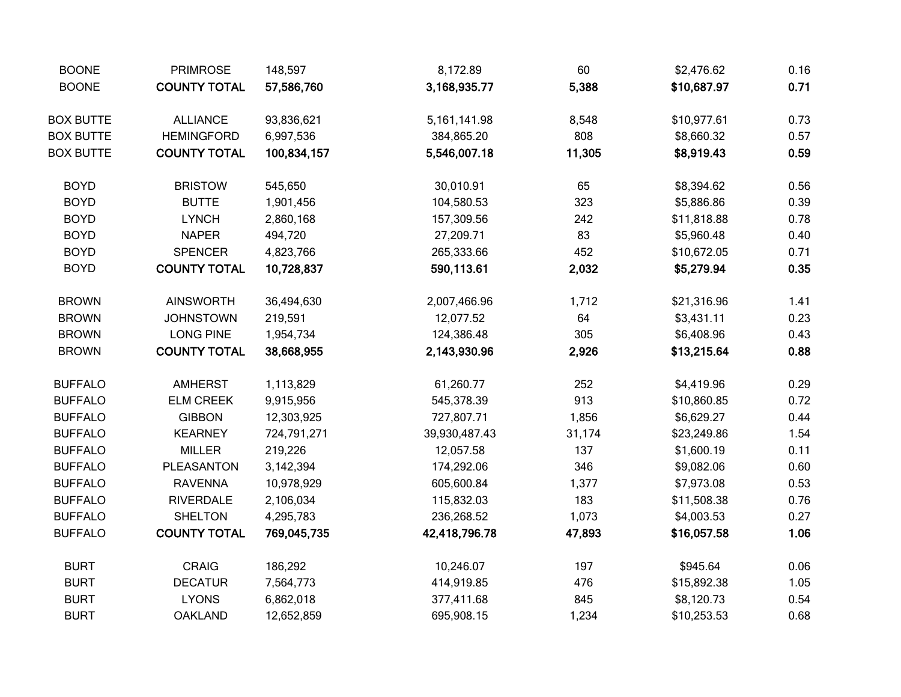| <b>BOONE</b>     | <b>PRIMROSE</b>     | 148,597     | 8,172.89        | 60     | \$2,476.62  | 0.16 |
|------------------|---------------------|-------------|-----------------|--------|-------------|------|
| <b>BOONE</b>     | <b>COUNTY TOTAL</b> | 57,586,760  | 3,168,935.77    | 5,388  | \$10,687.97 | 0.71 |
| <b>BOX BUTTE</b> | <b>ALLIANCE</b>     | 93,836,621  | 5, 161, 141. 98 | 8,548  | \$10,977.61 | 0.73 |
| <b>BOX BUTTE</b> | <b>HEMINGFORD</b>   | 6,997,536   | 384,865.20      | 808    | \$8,660.32  | 0.57 |
| <b>BOX BUTTE</b> | <b>COUNTY TOTAL</b> | 100,834,157 | 5,546,007.18    | 11,305 | \$8,919.43  | 0.59 |
| <b>BOYD</b>      | <b>BRISTOW</b>      | 545,650     | 30,010.91       | 65     | \$8,394.62  | 0.56 |
| <b>BOYD</b>      | <b>BUTTE</b>        | 1,901,456   | 104,580.53      | 323    | \$5,886.86  | 0.39 |
| <b>BOYD</b>      | <b>LYNCH</b>        | 2,860,168   | 157,309.56      | 242    | \$11,818.88 | 0.78 |
| <b>BOYD</b>      | <b>NAPER</b>        | 494,720     | 27,209.71       | 83     | \$5,960.48  | 0.40 |
| <b>BOYD</b>      | <b>SPENCER</b>      | 4,823,766   | 265,333.66      | 452    | \$10,672.05 | 0.71 |
| <b>BOYD</b>      | <b>COUNTY TOTAL</b> | 10,728,837  | 590,113.61      | 2,032  | \$5,279.94  | 0.35 |
| <b>BROWN</b>     | <b>AINSWORTH</b>    | 36,494,630  | 2,007,466.96    | 1,712  | \$21,316.96 | 1.41 |
| <b>BROWN</b>     | <b>JOHNSTOWN</b>    | 219,591     | 12,077.52       | 64     | \$3,431.11  | 0.23 |
| <b>BROWN</b>     | <b>LONG PINE</b>    | 1,954,734   | 124,386.48      | 305    | \$6,408.96  | 0.43 |
| <b>BROWN</b>     | <b>COUNTY TOTAL</b> | 38,668,955  | 2,143,930.96    | 2,926  | \$13,215.64 | 0.88 |
| <b>BUFFALO</b>   | <b>AMHERST</b>      | 1,113,829   | 61,260.77       | 252    | \$4,419.96  | 0.29 |
| <b>BUFFALO</b>   | <b>ELM CREEK</b>    | 9,915,956   | 545,378.39      | 913    | \$10,860.85 | 0.72 |
| <b>BUFFALO</b>   | <b>GIBBON</b>       | 12,303,925  | 727,807.71      | 1,856  | \$6,629.27  | 0.44 |
| <b>BUFFALO</b>   | <b>KEARNEY</b>      | 724,791,271 | 39,930,487.43   | 31,174 | \$23,249.86 | 1.54 |
| <b>BUFFALO</b>   | <b>MILLER</b>       | 219,226     | 12,057.58       | 137    | \$1,600.19  | 0.11 |
| <b>BUFFALO</b>   | PLEASANTON          | 3,142,394   | 174,292.06      | 346    | \$9,082.06  | 0.60 |
| <b>BUFFALO</b>   | <b>RAVENNA</b>      | 10,978,929  | 605,600.84      | 1,377  | \$7,973.08  | 0.53 |
| <b>BUFFALO</b>   | <b>RIVERDALE</b>    | 2,106,034   | 115,832.03      | 183    | \$11,508.38 | 0.76 |
| <b>BUFFALO</b>   | <b>SHELTON</b>      | 4,295,783   | 236,268.52      | 1,073  | \$4,003.53  | 0.27 |
| <b>BUFFALO</b>   | <b>COUNTY TOTAL</b> | 769,045,735 | 42,418,796.78   | 47,893 | \$16,057.58 | 1.06 |
| <b>BURT</b>      | <b>CRAIG</b>        | 186,292     | 10,246.07       | 197    | \$945.64    | 0.06 |
| <b>BURT</b>      | <b>DECATUR</b>      | 7,564,773   | 414,919.85      | 476    | \$15,892.38 | 1.05 |
| <b>BURT</b>      | <b>LYONS</b>        | 6,862,018   | 377,411.68      | 845    | \$8,120.73  | 0.54 |
| <b>BURT</b>      | <b>OAKLAND</b>      | 12,652,859  | 695,908.15      | 1,234  | \$10,253.53 | 0.68 |
|                  |                     |             |                 |        |             |      |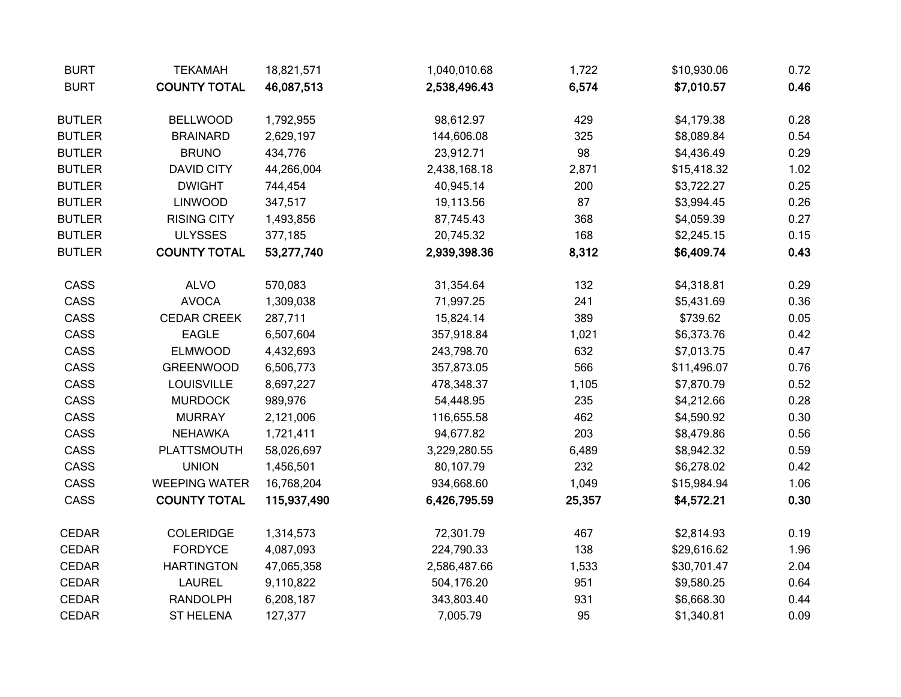| <b>BURT</b>   | <b>TEKAMAH</b>       | 18,821,571  | 1,040,010.68 | 1,722  | \$10,930.06 | 0.72 |
|---------------|----------------------|-------------|--------------|--------|-------------|------|
| <b>BURT</b>   | <b>COUNTY TOTAL</b>  | 46,087,513  | 2,538,496.43 | 6,574  | \$7,010.57  | 0.46 |
| <b>BUTLER</b> | <b>BELLWOOD</b>      | 1,792,955   | 98,612.97    | 429    | \$4,179.38  | 0.28 |
| <b>BUTLER</b> | <b>BRAINARD</b>      | 2,629,197   | 144,606.08   | 325    | \$8,089.84  | 0.54 |
| <b>BUTLER</b> | <b>BRUNO</b>         | 434,776     | 23,912.71    | 98     | \$4,436.49  | 0.29 |
| <b>BUTLER</b> | <b>DAVID CITY</b>    | 44,266,004  | 2,438,168.18 | 2,871  | \$15,418.32 | 1.02 |
| <b>BUTLER</b> | <b>DWIGHT</b>        | 744,454     | 40,945.14    | 200    | \$3,722.27  | 0.25 |
| <b>BUTLER</b> | <b>LINWOOD</b>       | 347,517     | 19,113.56    | 87     | \$3,994.45  | 0.26 |
| <b>BUTLER</b> | <b>RISING CITY</b>   | 1,493,856   | 87,745.43    | 368    | \$4,059.39  | 0.27 |
| <b>BUTLER</b> | <b>ULYSSES</b>       | 377,185     | 20,745.32    | 168    | \$2,245.15  | 0.15 |
| <b>BUTLER</b> | <b>COUNTY TOTAL</b>  | 53,277,740  | 2,939,398.36 | 8,312  | \$6,409.74  | 0.43 |
| CASS          | <b>ALVO</b>          | 570,083     | 31,354.64    | 132    | \$4,318.81  | 0.29 |
| CASS          | <b>AVOCA</b>         | 1,309,038   | 71,997.25    | 241    | \$5,431.69  | 0.36 |
| CASS          | <b>CEDAR CREEK</b>   | 287,711     | 15,824.14    | 389    | \$739.62    | 0.05 |
| CASS          | <b>EAGLE</b>         | 6,507,604   | 357,918.84   | 1,021  | \$6,373.76  | 0.42 |
| CASS          | <b>ELMWOOD</b>       | 4,432,693   | 243,798.70   | 632    | \$7,013.75  | 0.47 |
| CASS          | <b>GREENWOOD</b>     | 6,506,773   | 357,873.05   | 566    | \$11,496.07 | 0.76 |
| CASS          | <b>LOUISVILLE</b>    | 8,697,227   | 478,348.37   | 1,105  | \$7,870.79  | 0.52 |
| CASS          | <b>MURDOCK</b>       | 989,976     | 54,448.95    | 235    | \$4,212.66  | 0.28 |
| CASS          | <b>MURRAY</b>        | 2,121,006   | 116,655.58   | 462    | \$4,590.92  | 0.30 |
| CASS          | <b>NEHAWKA</b>       | 1,721,411   | 94,677.82    | 203    | \$8,479.86  | 0.56 |
| CASS          | PLATTSMOUTH          | 58,026,697  | 3,229,280.55 | 6,489  | \$8,942.32  | 0.59 |
| CASS          | <b>UNION</b>         | 1,456,501   | 80,107.79    | 232    | \$6,278.02  | 0.42 |
| CASS          | <b>WEEPING WATER</b> | 16,768,204  | 934,668.60   | 1,049  | \$15,984.94 | 1.06 |
| CASS          | <b>COUNTY TOTAL</b>  | 115,937,490 | 6,426,795.59 | 25,357 | \$4,572.21  | 0.30 |
| <b>CEDAR</b>  | <b>COLERIDGE</b>     | 1,314,573   | 72,301.79    | 467    | \$2,814.93  | 0.19 |
| CEDAR         | <b>FORDYCE</b>       | 4,087,093   | 224,790.33   | 138    | \$29,616.62 | 1.96 |
| <b>CEDAR</b>  | <b>HARTINGTON</b>    | 47,065,358  | 2,586,487.66 | 1,533  | \$30,701.47 | 2.04 |
| CEDAR         | <b>LAUREL</b>        | 9,110,822   | 504,176.20   | 951    | \$9,580.25  | 0.64 |
| CEDAR         | <b>RANDOLPH</b>      | 6,208,187   | 343,803.40   | 931    | \$6,668.30  | 0.44 |
| <b>CEDAR</b>  | <b>ST HELENA</b>     | 127,377     | 7,005.79     | 95     | \$1,340.81  | 0.09 |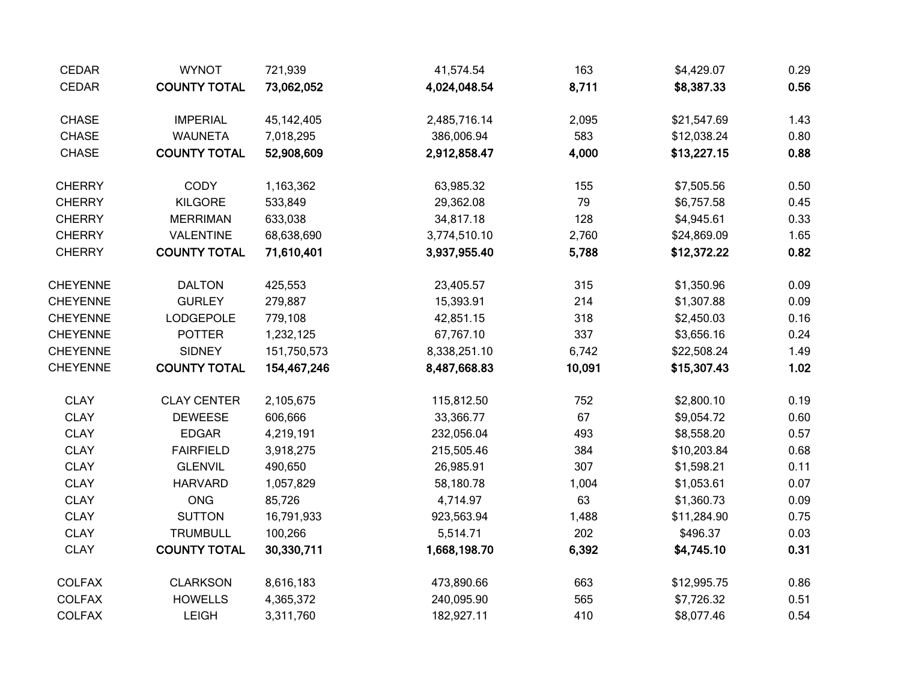| <b>CEDAR</b>    | <b>WYNOT</b>        | 721,939     | 41,574.54    | 163    | \$4,429.07  | 0.29 |
|-----------------|---------------------|-------------|--------------|--------|-------------|------|
| <b>CEDAR</b>    | <b>COUNTY TOTAL</b> | 73,062,052  | 4,024,048.54 | 8,711  | \$8,387.33  | 0.56 |
| <b>CHASE</b>    | <b>IMPERIAL</b>     | 45,142,405  | 2,485,716.14 | 2,095  | \$21,547.69 | 1.43 |
| <b>CHASE</b>    | <b>WAUNETA</b>      | 7,018,295   | 386,006.94   | 583    | \$12,038.24 | 0.80 |
| <b>CHASE</b>    | <b>COUNTY TOTAL</b> | 52,908,609  | 2,912,858.47 | 4,000  | \$13,227.15 | 0.88 |
| <b>CHERRY</b>   | <b>CODY</b>         | 1,163,362   | 63,985.32    | 155    | \$7,505.56  | 0.50 |
| <b>CHERRY</b>   | <b>KILGORE</b>      | 533,849     | 29,362.08    | 79     | \$6,757.58  | 0.45 |
| <b>CHERRY</b>   | <b>MERRIMAN</b>     | 633,038     | 34,817.18    | 128    | \$4,945.61  | 0.33 |
| <b>CHERRY</b>   | VALENTINE           | 68,638,690  | 3,774,510.10 | 2,760  | \$24,869.09 | 1.65 |
| <b>CHERRY</b>   | <b>COUNTY TOTAL</b> | 71,610,401  | 3,937,955.40 | 5,788  | \$12,372.22 | 0.82 |
| <b>CHEYENNE</b> | <b>DALTON</b>       | 425,553     | 23,405.57    | 315    | \$1,350.96  | 0.09 |
| <b>CHEYENNE</b> | <b>GURLEY</b>       | 279,887     | 15,393.91    | 214    | \$1,307.88  | 0.09 |
| <b>CHEYENNE</b> | <b>LODGEPOLE</b>    | 779,108     | 42,851.15    | 318    | \$2,450.03  | 0.16 |
| <b>CHEYENNE</b> | <b>POTTER</b>       | 1,232,125   | 67,767.10    | 337    | \$3,656.16  | 0.24 |
| <b>CHEYENNE</b> | <b>SIDNEY</b>       | 151,750,573 | 8,338,251.10 | 6,742  | \$22,508.24 | 1.49 |
| <b>CHEYENNE</b> | <b>COUNTY TOTAL</b> | 154,467,246 | 8,487,668.83 | 10,091 | \$15,307.43 | 1.02 |
| <b>CLAY</b>     | <b>CLAY CENTER</b>  | 2,105,675   | 115,812.50   | 752    | \$2,800.10  | 0.19 |
| <b>CLAY</b>     | <b>DEWEESE</b>      | 606,666     | 33,366.77    | 67     | \$9,054.72  | 0.60 |
| <b>CLAY</b>     | <b>EDGAR</b>        | 4,219,191   | 232,056.04   | 493    | \$8,558.20  | 0.57 |
| <b>CLAY</b>     | <b>FAIRFIELD</b>    | 3,918,275   | 215,505.46   | 384    | \$10,203.84 | 0.68 |
| <b>CLAY</b>     | <b>GLENVIL</b>      | 490,650     | 26,985.91    | 307    | \$1,598.21  | 0.11 |
| <b>CLAY</b>     | <b>HARVARD</b>      | 1,057,829   | 58,180.78    | 1,004  | \$1,053.61  | 0.07 |
| <b>CLAY</b>     | <b>ONG</b>          | 85,726      | 4,714.97     | 63     | \$1,360.73  | 0.09 |
| <b>CLAY</b>     | <b>SUTTON</b>       | 16,791,933  | 923,563.94   | 1,488  | \$11,284.90 | 0.75 |
| <b>CLAY</b>     | <b>TRUMBULL</b>     | 100,266     | 5,514.71     | 202    | \$496.37    | 0.03 |
| <b>CLAY</b>     | <b>COUNTY TOTAL</b> | 30,330,711  | 1,668,198.70 | 6,392  | \$4,745.10  | 0.31 |
| <b>COLFAX</b>   | <b>CLARKSON</b>     | 8,616,183   | 473,890.66   | 663    | \$12,995.75 | 0.86 |
| <b>COLFAX</b>   | <b>HOWELLS</b>      | 4,365,372   | 240,095.90   | 565    | \$7,726.32  | 0.51 |
| <b>COLFAX</b>   | LEIGH               | 3,311,760   | 182,927.11   | 410    | \$8,077.46  | 0.54 |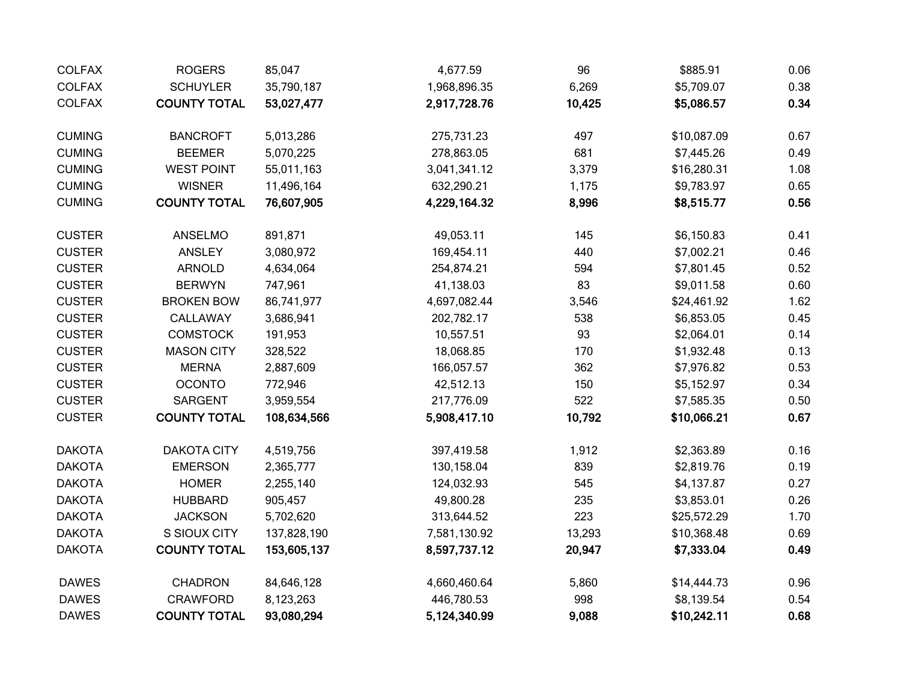| <b>COLFAX</b> | <b>ROGERS</b>       | 85,047      | 4,677.59     | 96     | \$885.91    | 0.06 |
|---------------|---------------------|-------------|--------------|--------|-------------|------|
| <b>COLFAX</b> | <b>SCHUYLER</b>     | 35,790,187  | 1,968,896.35 | 6,269  | \$5,709.07  | 0.38 |
| <b>COLFAX</b> | <b>COUNTY TOTAL</b> | 53,027,477  | 2,917,728.76 | 10,425 | \$5,086.57  | 0.34 |
| <b>CUMING</b> | <b>BANCROFT</b>     | 5,013,286   | 275,731.23   | 497    | \$10,087.09 | 0.67 |
| <b>CUMING</b> | <b>BEEMER</b>       | 5,070,225   | 278,863.05   | 681    | \$7,445.26  | 0.49 |
| <b>CUMING</b> | <b>WEST POINT</b>   | 55,011,163  | 3,041,341.12 | 3,379  | \$16,280.31 | 1.08 |
| <b>CUMING</b> | <b>WISNER</b>       | 11,496,164  | 632,290.21   | 1,175  | \$9,783.97  | 0.65 |
| <b>CUMING</b> | <b>COUNTY TOTAL</b> | 76,607,905  | 4,229,164.32 | 8,996  | \$8,515.77  | 0.56 |
| <b>CUSTER</b> | ANSELMO             | 891,871     | 49,053.11    | 145    | \$6,150.83  | 0.41 |
| <b>CUSTER</b> | <b>ANSLEY</b>       | 3,080,972   | 169,454.11   | 440    | \$7,002.21  | 0.46 |
| <b>CUSTER</b> | <b>ARNOLD</b>       | 4,634,064   | 254,874.21   | 594    | \$7,801.45  | 0.52 |
| <b>CUSTER</b> | <b>BERWYN</b>       | 747,961     | 41,138.03    | 83     | \$9,011.58  | 0.60 |
| <b>CUSTER</b> | <b>BROKEN BOW</b>   | 86,741,977  | 4,697,082.44 | 3,546  | \$24,461.92 | 1.62 |
| <b>CUSTER</b> | CALLAWAY            | 3,686,941   | 202,782.17   | 538    | \$6,853.05  | 0.45 |
| <b>CUSTER</b> | <b>COMSTOCK</b>     | 191,953     | 10,557.51    | 93     | \$2,064.01  | 0.14 |
| <b>CUSTER</b> | <b>MASON CITY</b>   | 328,522     | 18,068.85    | 170    | \$1,932.48  | 0.13 |
| <b>CUSTER</b> | <b>MERNA</b>        | 2,887,609   | 166,057.57   | 362    | \$7,976.82  | 0.53 |
| <b>CUSTER</b> | <b>OCONTO</b>       | 772,946     | 42,512.13    | 150    | \$5,152.97  | 0.34 |
| <b>CUSTER</b> | SARGENT             | 3,959,554   | 217,776.09   | 522    | \$7,585.35  | 0.50 |
| <b>CUSTER</b> | <b>COUNTY TOTAL</b> | 108,634,566 | 5,908,417.10 | 10,792 | \$10,066.21 | 0.67 |
| <b>DAKOTA</b> | <b>DAKOTA CITY</b>  | 4,519,756   | 397,419.58   | 1,912  | \$2,363.89  | 0.16 |
| <b>DAKOTA</b> | <b>EMERSON</b>      | 2,365,777   | 130,158.04   | 839    | \$2,819.76  | 0.19 |
| <b>DAKOTA</b> | <b>HOMER</b>        | 2,255,140   | 124,032.93   | 545    | \$4,137.87  | 0.27 |
| <b>DAKOTA</b> | <b>HUBBARD</b>      | 905,457     | 49,800.28    | 235    | \$3,853.01  | 0.26 |
| <b>DAKOTA</b> | <b>JACKSON</b>      | 5,702,620   | 313,644.52   | 223    | \$25,572.29 | 1.70 |
| <b>DAKOTA</b> | S SIOUX CITY        | 137,828,190 | 7,581,130.92 | 13,293 | \$10,368.48 | 0.69 |
| <b>DAKOTA</b> | <b>COUNTY TOTAL</b> | 153,605,137 | 8,597,737.12 | 20,947 | \$7,333.04  | 0.49 |
| <b>DAWES</b>  | <b>CHADRON</b>      | 84,646,128  | 4,660,460.64 | 5,860  | \$14,444.73 | 0.96 |
| <b>DAWES</b>  | <b>CRAWFORD</b>     | 8,123,263   | 446,780.53   | 998    | \$8,139.54  | 0.54 |
| <b>DAWES</b>  | <b>COUNTY TOTAL</b> | 93,080,294  | 5,124,340.99 | 9,088  | \$10,242.11 | 0.68 |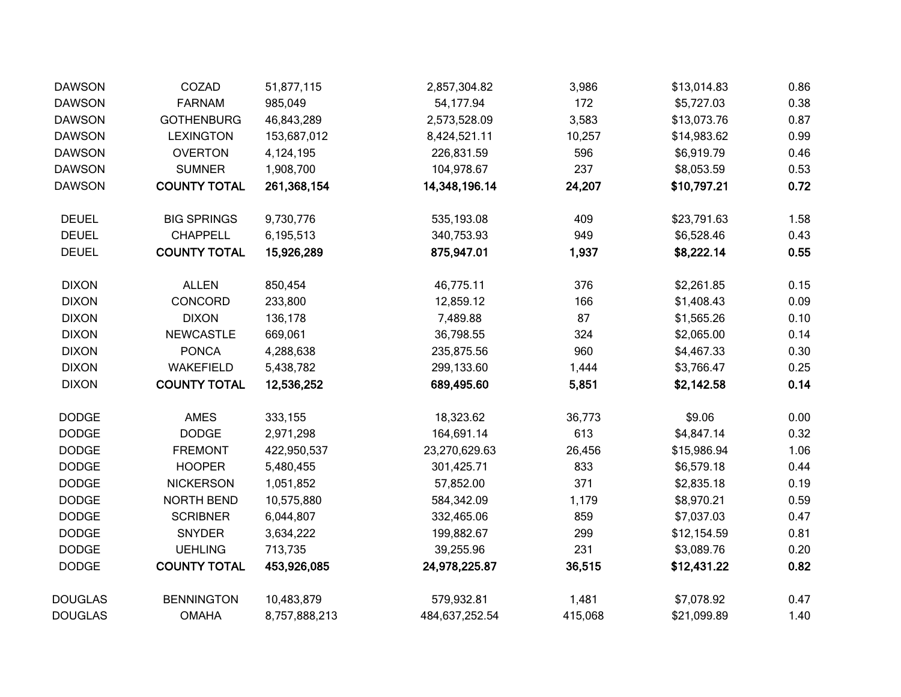| <b>DAWSON</b>  | COZAD               | 51,877,115    | 2,857,304.82   | 3,986   | \$13,014.83 | 0.86 |
|----------------|---------------------|---------------|----------------|---------|-------------|------|
| <b>DAWSON</b>  | <b>FARNAM</b>       | 985,049       | 54,177.94      | 172     | \$5,727.03  | 0.38 |
| <b>DAWSON</b>  | <b>GOTHENBURG</b>   | 46,843,289    | 2,573,528.09   | 3,583   | \$13,073.76 | 0.87 |
| <b>DAWSON</b>  | <b>LEXINGTON</b>    | 153,687,012   | 8,424,521.11   | 10,257  | \$14,983.62 | 0.99 |
| <b>DAWSON</b>  | <b>OVERTON</b>      | 4,124,195     | 226,831.59     | 596     | \$6,919.79  | 0.46 |
| <b>DAWSON</b>  | <b>SUMNER</b>       | 1,908,700     | 104,978.67     | 237     | \$8,053.59  | 0.53 |
| <b>DAWSON</b>  | <b>COUNTY TOTAL</b> | 261,368,154   | 14,348,196.14  | 24,207  | \$10,797.21 | 0.72 |
| <b>DEUEL</b>   | <b>BIG SPRINGS</b>  | 9,730,776     | 535,193.08     | 409     | \$23,791.63 | 1.58 |
| <b>DEUEL</b>   | <b>CHAPPELL</b>     | 6,195,513     | 340,753.93     | 949     | \$6,528.46  | 0.43 |
| <b>DEUEL</b>   | <b>COUNTY TOTAL</b> | 15,926,289    | 875,947.01     | 1,937   | \$8,222.14  | 0.55 |
| <b>DIXON</b>   | <b>ALLEN</b>        | 850,454       | 46,775.11      | 376     | \$2,261.85  | 0.15 |
| <b>DIXON</b>   | CONCORD             | 233,800       | 12,859.12      | 166     | \$1,408.43  | 0.09 |
| <b>DIXON</b>   | <b>DIXON</b>        | 136,178       | 7,489.88       | 87      | \$1,565.26  | 0.10 |
| <b>DIXON</b>   | <b>NEWCASTLE</b>    | 669,061       | 36,798.55      | 324     | \$2,065.00  | 0.14 |
| <b>DIXON</b>   | <b>PONCA</b>        | 4,288,638     | 235,875.56     | 960     | \$4,467.33  | 0.30 |
| <b>DIXON</b>   | <b>WAKEFIELD</b>    | 5,438,782     | 299,133.60     | 1,444   | \$3,766.47  | 0.25 |
| <b>DIXON</b>   | <b>COUNTY TOTAL</b> | 12,536,252    | 689,495.60     | 5,851   | \$2,142.58  | 0.14 |
| <b>DODGE</b>   | <b>AMES</b>         | 333,155       | 18,323.62      | 36,773  | \$9.06      | 0.00 |
| <b>DODGE</b>   | <b>DODGE</b>        | 2,971,298     | 164,691.14     | 613     | \$4,847.14  | 0.32 |
| <b>DODGE</b>   | <b>FREMONT</b>      | 422,950,537   | 23,270,629.63  | 26,456  | \$15,986.94 | 1.06 |
| <b>DODGE</b>   | <b>HOOPER</b>       | 5,480,455     | 301,425.71     | 833     | \$6,579.18  | 0.44 |
| <b>DODGE</b>   | <b>NICKERSON</b>    | 1,051,852     | 57,852.00      | 371     | \$2,835.18  | 0.19 |
| <b>DODGE</b>   | NORTH BEND          | 10,575,880    | 584,342.09     | 1,179   | \$8,970.21  | 0.59 |
| <b>DODGE</b>   | <b>SCRIBNER</b>     | 6,044,807     | 332,465.06     | 859     | \$7,037.03  | 0.47 |
| <b>DODGE</b>   | <b>SNYDER</b>       | 3,634,222     | 199,882.67     | 299     | \$12,154.59 | 0.81 |
| <b>DODGE</b>   | <b>UEHLING</b>      | 713,735       | 39,255.96      | 231     | \$3,089.76  | 0.20 |
| <b>DODGE</b>   | <b>COUNTY TOTAL</b> | 453,926,085   | 24,978,225.87  | 36,515  | \$12,431.22 | 0.82 |
| <b>DOUGLAS</b> | <b>BENNINGTON</b>   | 10,483,879    | 579,932.81     | 1,481   | \$7,078.92  | 0.47 |
| <b>DOUGLAS</b> | <b>OMAHA</b>        | 8,757,888,213 | 484,637,252.54 | 415,068 | \$21,099.89 | 1.40 |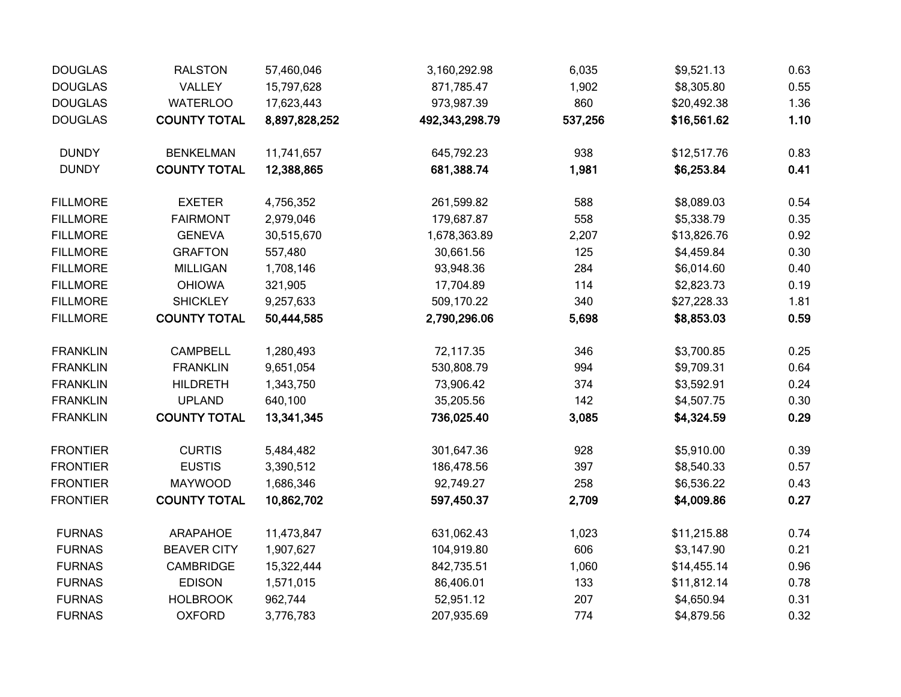| <b>DOUGLAS</b>  | <b>RALSTON</b>      | 57,460,046    | 3,160,292.98   | 6,035   | \$9,521.13  | 0.63 |
|-----------------|---------------------|---------------|----------------|---------|-------------|------|
| <b>DOUGLAS</b>  | VALLEY              | 15,797,628    | 871,785.47     | 1,902   | \$8,305.80  | 0.55 |
| <b>DOUGLAS</b>  | <b>WATERLOO</b>     | 17,623,443    | 973,987.39     | 860     | \$20,492.38 | 1.36 |
| <b>DOUGLAS</b>  | <b>COUNTY TOTAL</b> | 8,897,828,252 | 492,343,298.79 | 537,256 | \$16,561.62 | 1.10 |
| <b>DUNDY</b>    | <b>BENKELMAN</b>    | 11,741,657    | 645,792.23     | 938     | \$12,517.76 | 0.83 |
| <b>DUNDY</b>    | <b>COUNTY TOTAL</b> | 12,388,865    | 681,388.74     | 1,981   | \$6,253.84  | 0.41 |
| <b>FILLMORE</b> | <b>EXETER</b>       | 4,756,352     | 261,599.82     | 588     | \$8,089.03  | 0.54 |
| <b>FILLMORE</b> | <b>FAIRMONT</b>     | 2,979,046     | 179,687.87     | 558     | \$5,338.79  | 0.35 |
| <b>FILLMORE</b> | <b>GENEVA</b>       | 30,515,670    | 1,678,363.89   | 2,207   | \$13,826.76 | 0.92 |
| <b>FILLMORE</b> | <b>GRAFTON</b>      | 557,480       | 30,661.56      | 125     | \$4,459.84  | 0.30 |
| <b>FILLMORE</b> | <b>MILLIGAN</b>     | 1,708,146     | 93,948.36      | 284     | \$6,014.60  | 0.40 |
| <b>FILLMORE</b> | <b>OHIOWA</b>       | 321,905       | 17,704.89      | 114     | \$2,823.73  | 0.19 |
| <b>FILLMORE</b> | <b>SHICKLEY</b>     | 9,257,633     | 509,170.22     | 340     | \$27,228.33 | 1.81 |
| <b>FILLMORE</b> | <b>COUNTY TOTAL</b> | 50,444,585    | 2,790,296.06   | 5,698   | \$8,853.03  | 0.59 |
| <b>FRANKLIN</b> | <b>CAMPBELL</b>     | 1,280,493     | 72,117.35      | 346     | \$3,700.85  | 0.25 |
| <b>FRANKLIN</b> | <b>FRANKLIN</b>     | 9,651,054     | 530,808.79     | 994     | \$9,709.31  | 0.64 |
| <b>FRANKLIN</b> | <b>HILDRETH</b>     | 1,343,750     | 73,906.42      | 374     | \$3,592.91  | 0.24 |
| <b>FRANKLIN</b> | <b>UPLAND</b>       | 640,100       | 35,205.56      | 142     | \$4,507.75  | 0.30 |
| <b>FRANKLIN</b> | <b>COUNTY TOTAL</b> | 13,341,345    | 736,025.40     | 3,085   | \$4,324.59  | 0.29 |
| <b>FRONTIER</b> | <b>CURTIS</b>       | 5,484,482     | 301,647.36     | 928     | \$5,910.00  | 0.39 |
| <b>FRONTIER</b> | <b>EUSTIS</b>       | 3,390,512     | 186,478.56     | 397     | \$8,540.33  | 0.57 |
| <b>FRONTIER</b> | MAYWOOD             | 1,686,346     | 92,749.27      | 258     | \$6,536.22  | 0.43 |
| <b>FRONTIER</b> | <b>COUNTY TOTAL</b> | 10,862,702    | 597,450.37     | 2,709   | \$4,009.86  | 0.27 |
| <b>FURNAS</b>   | <b>ARAPAHOE</b>     | 11,473,847    | 631,062.43     | 1,023   | \$11,215.88 | 0.74 |
| <b>FURNAS</b>   | <b>BEAVER CITY</b>  | 1,907,627     | 104,919.80     | 606     | \$3,147.90  | 0.21 |
| <b>FURNAS</b>   | <b>CAMBRIDGE</b>    | 15,322,444    | 842,735.51     | 1,060   | \$14,455.14 | 0.96 |
| <b>FURNAS</b>   | <b>EDISON</b>       | 1,571,015     | 86,406.01      | 133     | \$11,812.14 | 0.78 |
| <b>FURNAS</b>   | <b>HOLBROOK</b>     | 962,744       | 52,951.12      | 207     | \$4,650.94  | 0.31 |
| <b>FURNAS</b>   | <b>OXFORD</b>       | 3,776,783     | 207,935.69     | 774     | \$4,879.56  | 0.32 |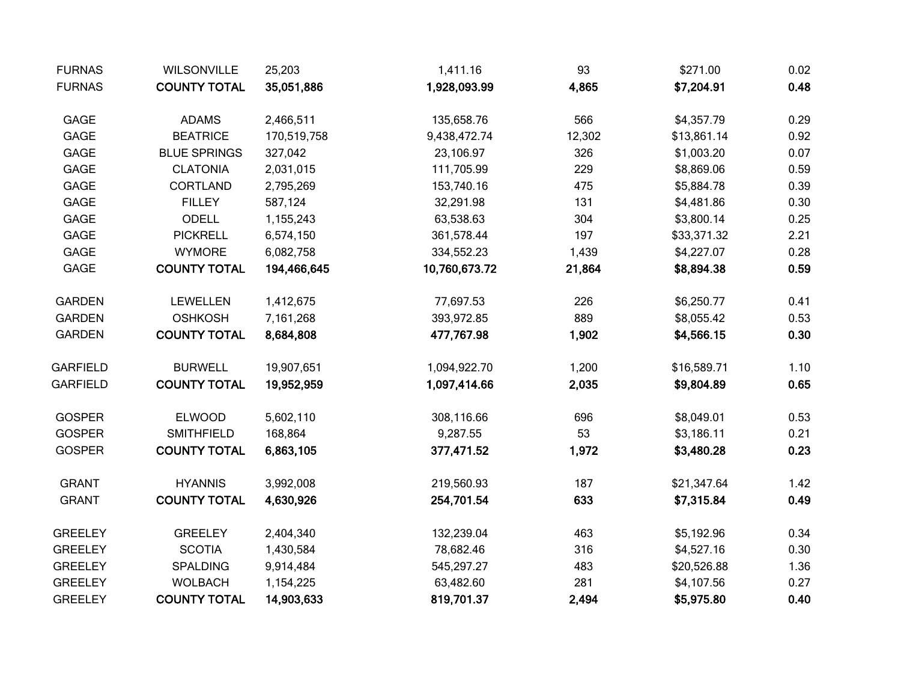| <b>FURNAS</b>   | <b>WILSONVILLE</b>  | 25,203      | 1,411.16      | 93     | \$271.00    | 0.02 |
|-----------------|---------------------|-------------|---------------|--------|-------------|------|
| <b>FURNAS</b>   | <b>COUNTY TOTAL</b> | 35,051,886  | 1,928,093.99  | 4,865  | \$7,204.91  | 0.48 |
| GAGE            | <b>ADAMS</b>        | 2,466,511   | 135,658.76    | 566    | \$4,357.79  | 0.29 |
| GAGE            | <b>BEATRICE</b>     | 170,519,758 | 9,438,472.74  | 12,302 | \$13,861.14 | 0.92 |
| GAGE            | <b>BLUE SPRINGS</b> | 327,042     | 23,106.97     | 326    | \$1,003.20  | 0.07 |
| <b>GAGE</b>     | <b>CLATONIA</b>     | 2,031,015   | 111,705.99    | 229    | \$8,869.06  | 0.59 |
| GAGE            | <b>CORTLAND</b>     | 2,795,269   | 153,740.16    | 475    | \$5,884.78  | 0.39 |
| GAGE            | <b>FILLEY</b>       | 587,124     | 32,291.98     | 131    | \$4,481.86  | 0.30 |
| GAGE            | ODELL               | 1,155,243   | 63,538.63     | 304    | \$3,800.14  | 0.25 |
| GAGE            | <b>PICKRELL</b>     | 6,574,150   | 361,578.44    | 197    | \$33,371.32 | 2.21 |
| GAGE            | <b>WYMORE</b>       | 6,082,758   | 334,552.23    | 1,439  | \$4,227.07  | 0.28 |
| GAGE            | <b>COUNTY TOTAL</b> | 194,466,645 | 10,760,673.72 | 21,864 | \$8,894.38  | 0.59 |
| <b>GARDEN</b>   | LEWELLEN            | 1,412,675   | 77,697.53     | 226    | \$6,250.77  | 0.41 |
| <b>GARDEN</b>   | <b>OSHKOSH</b>      | 7,161,268   | 393,972.85    | 889    | \$8,055.42  | 0.53 |
| <b>GARDEN</b>   | <b>COUNTY TOTAL</b> | 8,684,808   | 477,767.98    | 1,902  | \$4,566.15  | 0.30 |
| <b>GARFIELD</b> | <b>BURWELL</b>      | 19,907,651  | 1,094,922.70  | 1,200  | \$16,589.71 | 1.10 |
| <b>GARFIELD</b> | <b>COUNTY TOTAL</b> | 19,952,959  | 1,097,414.66  | 2,035  | \$9,804.89  | 0.65 |
| <b>GOSPER</b>   | <b>ELWOOD</b>       | 5,602,110   | 308,116.66    | 696    | \$8,049.01  | 0.53 |
| <b>GOSPER</b>   | <b>SMITHFIELD</b>   | 168,864     | 9,287.55      | 53     | \$3,186.11  | 0.21 |
| <b>GOSPER</b>   | <b>COUNTY TOTAL</b> | 6,863,105   | 377,471.52    | 1,972  | \$3,480.28  | 0.23 |
| <b>GRANT</b>    | <b>HYANNIS</b>      | 3,992,008   | 219,560.93    | 187    | \$21,347.64 | 1.42 |
| <b>GRANT</b>    | <b>COUNTY TOTAL</b> | 4,630,926   | 254,701.54    | 633    | \$7,315.84  | 0.49 |
| <b>GREELEY</b>  | <b>GREELEY</b>      | 2,404,340   | 132,239.04    | 463    | \$5,192.96  | 0.34 |
| <b>GREELEY</b>  | <b>SCOTIA</b>       | 1,430,584   | 78,682.46     | 316    | \$4,527.16  | 0.30 |
| <b>GREELEY</b>  | <b>SPALDING</b>     | 9,914,484   | 545,297.27    | 483    | \$20,526.88 | 1.36 |
| <b>GREELEY</b>  | <b>WOLBACH</b>      | 1,154,225   | 63,482.60     | 281    | \$4,107.56  | 0.27 |
| <b>GREELEY</b>  | <b>COUNTY TOTAL</b> | 14,903,633  | 819,701.37    | 2,494  | \$5,975.80  | 0.40 |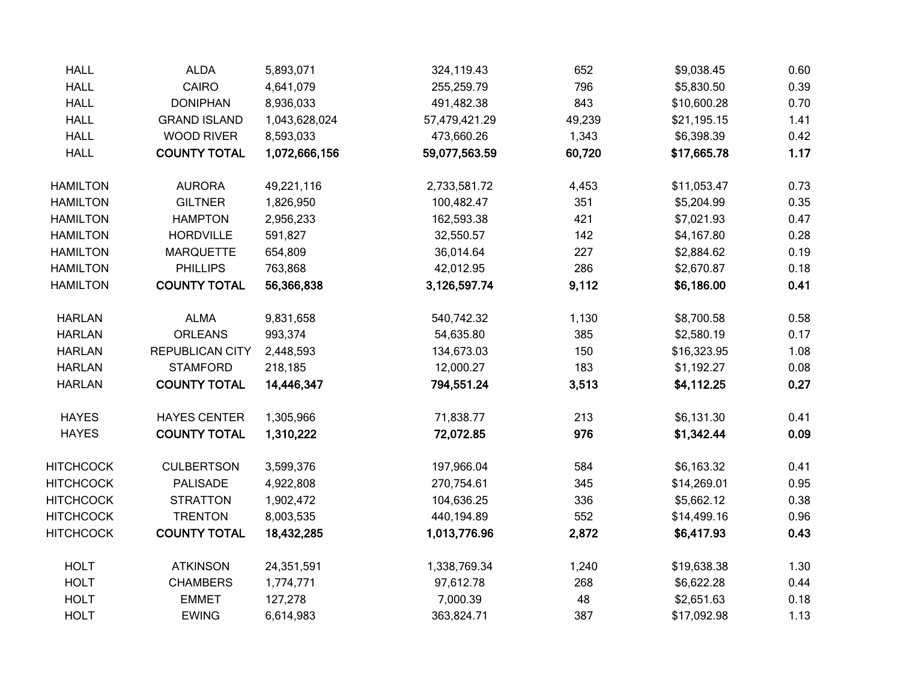| <b>HALL</b>      | ALDA                   | 5,893,071     | 324,119.43    | 652    | \$9,038.45  | 0.60 |
|------------------|------------------------|---------------|---------------|--------|-------------|------|
| <b>HALL</b>      | CAIRO                  | 4,641,079     | 255,259.79    | 796    | \$5,830.50  | 0.39 |
| <b>HALL</b>      | <b>DONIPHAN</b>        | 8,936,033     | 491,482.38    | 843    | \$10,600.28 | 0.70 |
| <b>HALL</b>      | <b>GRAND ISLAND</b>    | 1,043,628,024 | 57,479,421.29 | 49,239 | \$21,195.15 | 1.41 |
| <b>HALL</b>      | <b>WOOD RIVER</b>      | 8,593,033     | 473,660.26    | 1,343  | \$6,398.39  | 0.42 |
| <b>HALL</b>      | <b>COUNTY TOTAL</b>    | 1,072,666,156 | 59,077,563.59 | 60,720 | \$17,665.78 | 1.17 |
| <b>HAMILTON</b>  | <b>AURORA</b>          | 49,221,116    | 2,733,581.72  | 4,453  | \$11,053.47 | 0.73 |
| <b>HAMILTON</b>  | <b>GILTNER</b>         | 1,826,950     | 100,482.47    | 351    | \$5,204.99  | 0.35 |
| <b>HAMILTON</b>  | <b>HAMPTON</b>         | 2,956,233     | 162,593.38    | 421    | \$7,021.93  | 0.47 |
| <b>HAMILTON</b>  | <b>HORDVILLE</b>       | 591,827       | 32,550.57     | 142    | \$4,167.80  | 0.28 |
| <b>HAMILTON</b>  | <b>MARQUETTE</b>       | 654,809       | 36,014.64     | 227    | \$2,884.62  | 0.19 |
| <b>HAMILTON</b>  | <b>PHILLIPS</b>        | 763,868       | 42,012.95     | 286    | \$2,670.87  | 0.18 |
| <b>HAMILTON</b>  | <b>COUNTY TOTAL</b>    | 56,366,838    | 3,126,597.74  | 9,112  | \$6,186.00  | 0.41 |
| <b>HARLAN</b>    | <b>ALMA</b>            | 9,831,658     | 540,742.32    | 1,130  | \$8,700.58  | 0.58 |
| <b>HARLAN</b>    | <b>ORLEANS</b>         | 993,374       | 54,635.80     | 385    | \$2,580.19  | 0.17 |
| <b>HARLAN</b>    | <b>REPUBLICAN CITY</b> | 2,448,593     | 134,673.03    | 150    | \$16,323.95 | 1.08 |
| <b>HARLAN</b>    | <b>STAMFORD</b>        | 218,185       | 12,000.27     | 183    | \$1,192.27  | 0.08 |
| <b>HARLAN</b>    | <b>COUNTY TOTAL</b>    | 14,446,347    | 794,551.24    | 3,513  | \$4,112.25  | 0.27 |
| <b>HAYES</b>     | <b>HAYES CENTER</b>    | 1,305,966     | 71,838.77     | 213    | \$6,131.30  | 0.41 |
| <b>HAYES</b>     | <b>COUNTY TOTAL</b>    | 1,310,222     | 72,072.85     | 976    | \$1,342.44  | 0.09 |
| HITCHCOCK        | <b>CULBERTSON</b>      | 3,599,376     | 197,966.04    | 584    | \$6,163.32  | 0.41 |
| <b>HITCHCOCK</b> | PALISADE               | 4,922,808     | 270,754.61    | 345    | \$14,269.01 | 0.95 |
| <b>HITCHCOCK</b> | <b>STRATTON</b>        | 1,902,472     | 104,636.25    | 336    | \$5,662.12  | 0.38 |
| HITCHCOCK        | <b>TRENTON</b>         | 8,003,535     | 440,194.89    | 552    | \$14,499.16 | 0.96 |
| <b>HITCHCOCK</b> | <b>COUNTY TOTAL</b>    | 18,432,285    | 1,013,776.96  | 2,872  | \$6,417.93  | 0.43 |
| <b>HOLT</b>      | <b>ATKINSON</b>        | 24,351,591    | 1,338,769.34  | 1,240  | \$19,638.38 | 1.30 |
| <b>HOLT</b>      | <b>CHAMBERS</b>        | 1,774,771     | 97,612.78     | 268    | \$6,622.28  | 0.44 |
| <b>HOLT</b>      | <b>EMMET</b>           | 127,278       | 7,000.39      | 48     | \$2,651.63  | 0.18 |
| <b>HOLT</b>      | <b>EWING</b>           | 6,614,983     | 363,824.71    | 387    | \$17,092.98 | 1.13 |
|                  |                        |               |               |        |             |      |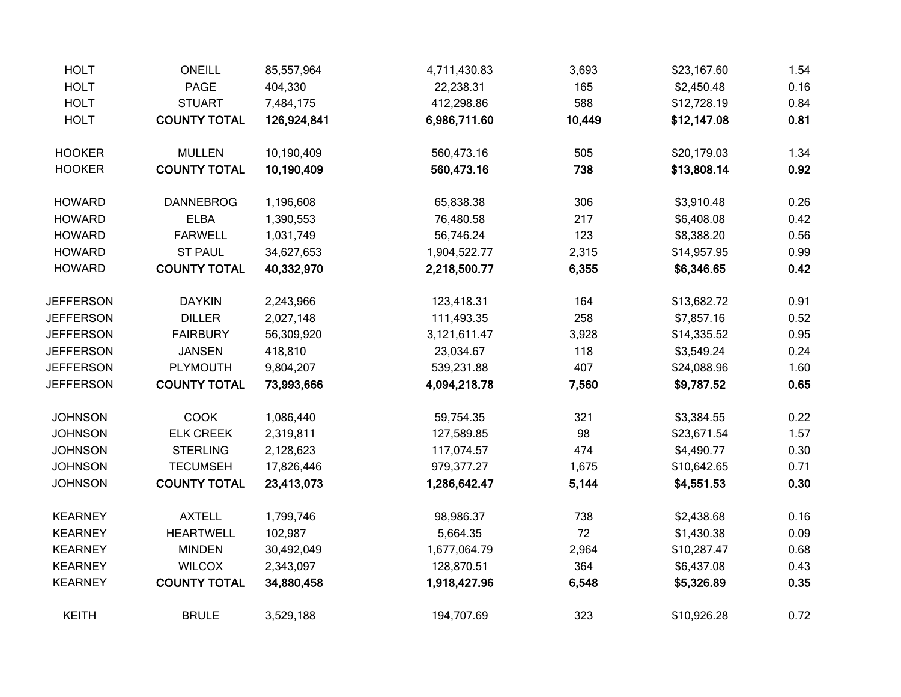| <b>HOLT</b>      | <b>ONEILL</b>       | 85,557,964  | 4,711,430.83 | 3,693  | \$23,167.60 | 1.54 |
|------------------|---------------------|-------------|--------------|--------|-------------|------|
| <b>HOLT</b>      | <b>PAGE</b>         | 404,330     | 22,238.31    | 165    | \$2,450.48  | 0.16 |
| <b>HOLT</b>      | <b>STUART</b>       | 7,484,175   | 412,298.86   | 588    | \$12,728.19 | 0.84 |
| <b>HOLT</b>      | <b>COUNTY TOTAL</b> | 126,924,841 | 6,986,711.60 | 10,449 | \$12,147.08 | 0.81 |
| <b>HOOKER</b>    | <b>MULLEN</b>       | 10,190,409  | 560,473.16   | 505    | \$20,179.03 | 1.34 |
| <b>HOOKER</b>    | <b>COUNTY TOTAL</b> | 10,190,409  | 560,473.16   | 738    | \$13,808.14 | 0.92 |
| <b>HOWARD</b>    | <b>DANNEBROG</b>    | 1,196,608   | 65,838.38    | 306    | \$3,910.48  | 0.26 |
| <b>HOWARD</b>    | <b>ELBA</b>         | 1,390,553   | 76,480.58    | 217    | \$6,408.08  | 0.42 |
| <b>HOWARD</b>    | <b>FARWELL</b>      | 1,031,749   | 56,746.24    | 123    | \$8,388.20  | 0.56 |
| <b>HOWARD</b>    | <b>ST PAUL</b>      | 34,627,653  | 1,904,522.77 | 2,315  | \$14,957.95 | 0.99 |
| <b>HOWARD</b>    | <b>COUNTY TOTAL</b> | 40,332,970  | 2,218,500.77 | 6,355  | \$6,346.65  | 0.42 |
| <b>JEFFERSON</b> | <b>DAYKIN</b>       | 2,243,966   | 123,418.31   | 164    | \$13,682.72 | 0.91 |
| <b>JEFFERSON</b> | <b>DILLER</b>       | 2,027,148   | 111,493.35   | 258    | \$7,857.16  | 0.52 |
| <b>JEFFERSON</b> | <b>FAIRBURY</b>     | 56,309,920  | 3,121,611.47 | 3,928  | \$14,335.52 | 0.95 |
| <b>JEFFERSON</b> | <b>JANSEN</b>       | 418,810     | 23,034.67    | 118    | \$3,549.24  | 0.24 |
| <b>JEFFERSON</b> | PLYMOUTH            | 9,804,207   | 539,231.88   | 407    | \$24,088.96 | 1.60 |
| <b>JEFFERSON</b> | <b>COUNTY TOTAL</b> | 73,993,666  | 4,094,218.78 | 7,560  | \$9,787.52  | 0.65 |
| <b>JOHNSON</b>   | <b>COOK</b>         | 1,086,440   | 59,754.35    | 321    | \$3,384.55  | 0.22 |
| <b>JOHNSON</b>   | <b>ELK CREEK</b>    | 2,319,811   | 127,589.85   | 98     | \$23,671.54 | 1.57 |
| <b>JOHNSON</b>   | <b>STERLING</b>     | 2,128,623   | 117,074.57   | 474    | \$4,490.77  | 0.30 |
| <b>JOHNSON</b>   | <b>TECUMSEH</b>     | 17,826,446  | 979,377.27   | 1,675  | \$10,642.65 | 0.71 |
| <b>JOHNSON</b>   | <b>COUNTY TOTAL</b> | 23,413,073  | 1,286,642.47 | 5,144  | \$4,551.53  | 0.30 |
| <b>KEARNEY</b>   | <b>AXTELL</b>       | 1,799,746   | 98,986.37    | 738    | \$2,438.68  | 0.16 |
| <b>KEARNEY</b>   | <b>HEARTWELL</b>    | 102,987     | 5,664.35     | 72     | \$1,430.38  | 0.09 |
| <b>KEARNEY</b>   | <b>MINDEN</b>       | 30,492,049  | 1,677,064.79 | 2,964  | \$10,287.47 | 0.68 |
| <b>KEARNEY</b>   | <b>WILCOX</b>       | 2,343,097   | 128,870.51   | 364    | \$6,437.08  | 0.43 |
| <b>KEARNEY</b>   | <b>COUNTY TOTAL</b> | 34,880,458  | 1,918,427.96 | 6,548  | \$5,326.89  | 0.35 |
| <b>KEITH</b>     | <b>BRULE</b>        | 3,529,188   | 194,707.69   | 323    | \$10,926.28 | 0.72 |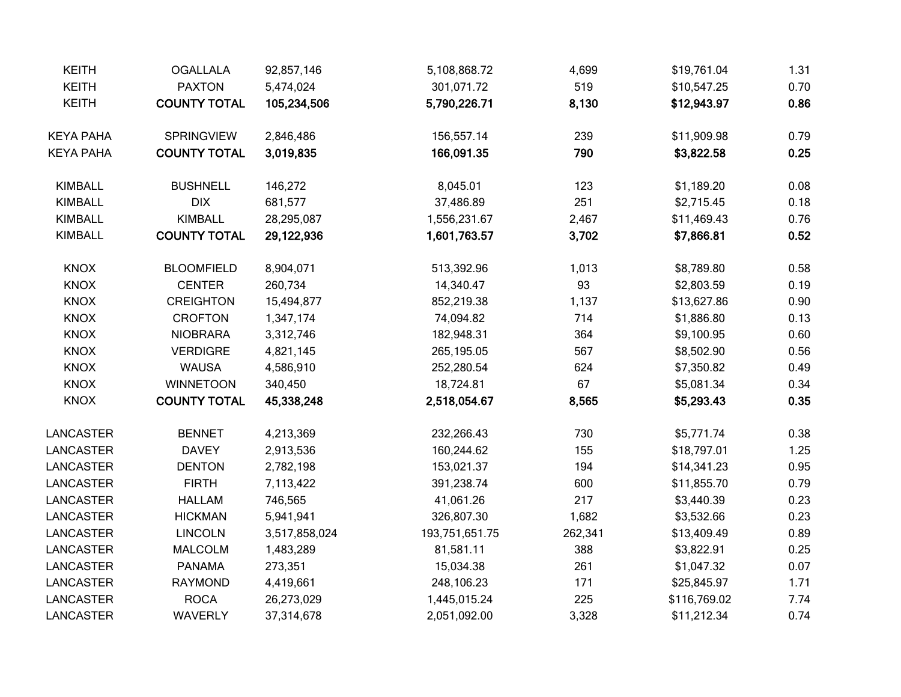| <b>KEITH</b>     | <b>OGALLALA</b>     | 92,857,146    | 5,108,868.72   | 4,699   | \$19,761.04  | 1.31 |
|------------------|---------------------|---------------|----------------|---------|--------------|------|
| <b>KEITH</b>     | <b>PAXTON</b>       | 5,474,024     | 301,071.72     | 519     | \$10,547.25  | 0.70 |
| <b>KEITH</b>     | <b>COUNTY TOTAL</b> | 105,234,506   | 5,790,226.71   | 8,130   | \$12,943.97  | 0.86 |
| <b>KEYA PAHA</b> | SPRINGVIEW          | 2,846,486     | 156,557.14     | 239     | \$11,909.98  | 0.79 |
| <b>KEYA PAHA</b> | <b>COUNTY TOTAL</b> | 3,019,835     | 166,091.35     | 790     | \$3,822.58   | 0.25 |
| <b>KIMBALL</b>   | <b>BUSHNELL</b>     | 146,272       | 8,045.01       | 123     | \$1,189.20   | 0.08 |
| <b>KIMBALL</b>   | <b>DIX</b>          | 681,577       | 37,486.89      | 251     | \$2,715.45   | 0.18 |
| <b>KIMBALL</b>   | KIMBALL             | 28,295,087    | 1,556,231.67   | 2,467   | \$11,469.43  | 0.76 |
| <b>KIMBALL</b>   | <b>COUNTY TOTAL</b> | 29,122,936    | 1,601,763.57   | 3,702   | \$7,866.81   | 0.52 |
| <b>KNOX</b>      | <b>BLOOMFIELD</b>   | 8,904,071     | 513,392.96     | 1,013   | \$8,789.80   | 0.58 |
| <b>KNOX</b>      | <b>CENTER</b>       | 260,734       | 14,340.47      | 93      | \$2,803.59   | 0.19 |
| <b>KNOX</b>      | <b>CREIGHTON</b>    | 15,494,877    | 852,219.38     | 1,137   | \$13,627.86  | 0.90 |
| <b>KNOX</b>      | <b>CROFTON</b>      | 1,347,174     | 74,094.82      | 714     | \$1,886.80   | 0.13 |
| <b>KNOX</b>      | <b>NIOBRARA</b>     | 3,312,746     | 182,948.31     | 364     | \$9,100.95   | 0.60 |
| <b>KNOX</b>      | <b>VERDIGRE</b>     | 4,821,145     | 265,195.05     | 567     | \$8,502.90   | 0.56 |
| <b>KNOX</b>      | <b>WAUSA</b>        | 4,586,910     | 252,280.54     | 624     | \$7,350.82   | 0.49 |
| <b>KNOX</b>      | <b>WINNETOON</b>    | 340,450       | 18,724.81      | 67      | \$5,081.34   | 0.34 |
| <b>KNOX</b>      | <b>COUNTY TOTAL</b> | 45,338,248    | 2,518,054.67   | 8,565   | \$5,293.43   | 0.35 |
| LANCASTER        | <b>BENNET</b>       | 4,213,369     | 232,266.43     | 730     | \$5,771.74   | 0.38 |
| LANCASTER        | <b>DAVEY</b>        | 2,913,536     | 160,244.62     | 155     | \$18,797.01  | 1.25 |
| LANCASTER        | <b>DENTON</b>       | 2,782,198     | 153,021.37     | 194     | \$14,341.23  | 0.95 |
| <b>LANCASTER</b> | <b>FIRTH</b>        | 7,113,422     | 391,238.74     | 600     | \$11,855.70  | 0.79 |
| <b>LANCASTER</b> | <b>HALLAM</b>       | 746,565       | 41,061.26      | 217     | \$3,440.39   | 0.23 |
| LANCASTER        | <b>HICKMAN</b>      | 5,941,941     | 326,807.30     | 1,682   | \$3,532.66   | 0.23 |
| <b>LANCASTER</b> | <b>LINCOLN</b>      | 3,517,858,024 | 193,751,651.75 | 262,341 | \$13,409.49  | 0.89 |
| LANCASTER        | <b>MALCOLM</b>      | 1,483,289     | 81,581.11      | 388     | \$3,822.91   | 0.25 |
| <b>LANCASTER</b> | <b>PANAMA</b>       | 273,351       | 15,034.38      | 261     | \$1,047.32   | 0.07 |
| <b>LANCASTER</b> | <b>RAYMOND</b>      | 4,419,661     | 248,106.23     | 171     | \$25,845.97  | 1.71 |
| <b>LANCASTER</b> | <b>ROCA</b>         | 26,273,029    | 1,445,015.24   | 225     | \$116,769.02 | 7.74 |
| <b>LANCASTER</b> | <b>WAVERLY</b>      | 37,314,678    | 2,051,092.00   | 3,328   | \$11,212.34  | 0.74 |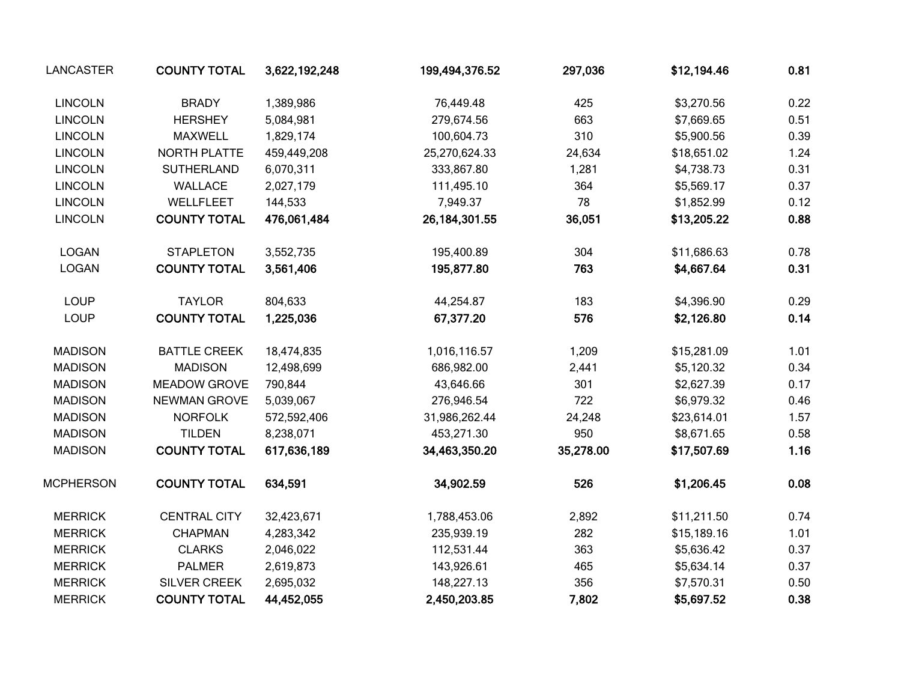| LANCASTER        | <b>COUNTY TOTAL</b> | 3,622,192,248 | 199,494,376.52  | 297,036   | \$12,194.46 | 0.81 |
|------------------|---------------------|---------------|-----------------|-----------|-------------|------|
| <b>LINCOLN</b>   | <b>BRADY</b>        | 1,389,986     | 76,449.48       | 425       | \$3,270.56  | 0.22 |
| <b>LINCOLN</b>   | <b>HERSHEY</b>      | 5,084,981     | 279,674.56      | 663       | \$7,669.65  | 0.51 |
| <b>LINCOLN</b>   | <b>MAXWELL</b>      | 1,829,174     | 100,604.73      | 310       | \$5,900.56  | 0.39 |
| <b>LINCOLN</b>   | NORTH PLATTE        | 459,449,208   | 25,270,624.33   | 24,634    | \$18,651.02 | 1.24 |
| <b>LINCOLN</b>   | <b>SUTHERLAND</b>   | 6,070,311     | 333,867.80      | 1,281     | \$4,738.73  | 0.31 |
| <b>LINCOLN</b>   | <b>WALLACE</b>      | 2,027,179     | 111,495.10      | 364       | \$5,569.17  | 0.37 |
| <b>LINCOLN</b>   | WELLFLEET           | 144,533       | 7,949.37        | 78        | \$1,852.99  | 0.12 |
| <b>LINCOLN</b>   | <b>COUNTY TOTAL</b> | 476,061,484   | 26, 184, 301.55 | 36,051    | \$13,205.22 | 0.88 |
| <b>LOGAN</b>     | <b>STAPLETON</b>    | 3,552,735     | 195,400.89      | 304       | \$11,686.63 | 0.78 |
| <b>LOGAN</b>     | <b>COUNTY TOTAL</b> | 3,561,406     | 195,877.80      | 763       | \$4,667.64  | 0.31 |
| <b>LOUP</b>      | <b>TAYLOR</b>       | 804,633       | 44,254.87       | 183       | \$4,396.90  | 0.29 |
| <b>LOUP</b>      | <b>COUNTY TOTAL</b> | 1,225,036     | 67,377.20       | 576       | \$2,126.80  | 0.14 |
| <b>MADISON</b>   | <b>BATTLE CREEK</b> | 18,474,835    | 1,016,116.57    | 1,209     | \$15,281.09 | 1.01 |
| <b>MADISON</b>   | <b>MADISON</b>      | 12,498,699    | 686,982.00      | 2,441     | \$5,120.32  | 0.34 |
| <b>MADISON</b>   | <b>MEADOW GROVE</b> | 790,844       | 43,646.66       | 301       | \$2,627.39  | 0.17 |
| <b>MADISON</b>   | <b>NEWMAN GROVE</b> | 5,039,067     | 276,946.54      | 722       | \$6,979.32  | 0.46 |
| <b>MADISON</b>   | <b>NORFOLK</b>      | 572,592,406   | 31,986,262.44   | 24,248    | \$23,614.01 | 1.57 |
| <b>MADISON</b>   | <b>TILDEN</b>       | 8,238,071     | 453,271.30      | 950       | \$8,671.65  | 0.58 |
| <b>MADISON</b>   | <b>COUNTY TOTAL</b> | 617,636,189   | 34,463,350.20   | 35,278.00 | \$17,507.69 | 1.16 |
| <b>MCPHERSON</b> | <b>COUNTY TOTAL</b> | 634,591       | 34,902.59       | 526       | \$1,206.45  | 0.08 |
| <b>MERRICK</b>   | <b>CENTRAL CITY</b> | 32,423,671    | 1,788,453.06    | 2,892     | \$11,211.50 | 0.74 |
| <b>MERRICK</b>   | <b>CHAPMAN</b>      | 4,283,342     | 235,939.19      | 282       | \$15,189.16 | 1.01 |
| <b>MERRICK</b>   | <b>CLARKS</b>       | 2,046,022     | 112,531.44      | 363       | \$5,636.42  | 0.37 |
| <b>MERRICK</b>   | <b>PALMER</b>       | 2,619,873     | 143,926.61      | 465       | \$5,634.14  | 0.37 |
| <b>MERRICK</b>   | SILVER CREEK        | 2,695,032     | 148,227.13      | 356       | \$7,570.31  | 0.50 |
| <b>MERRICK</b>   | <b>COUNTY TOTAL</b> | 44,452,055    | 2,450,203.85    | 7,802     | \$5,697.52  | 0.38 |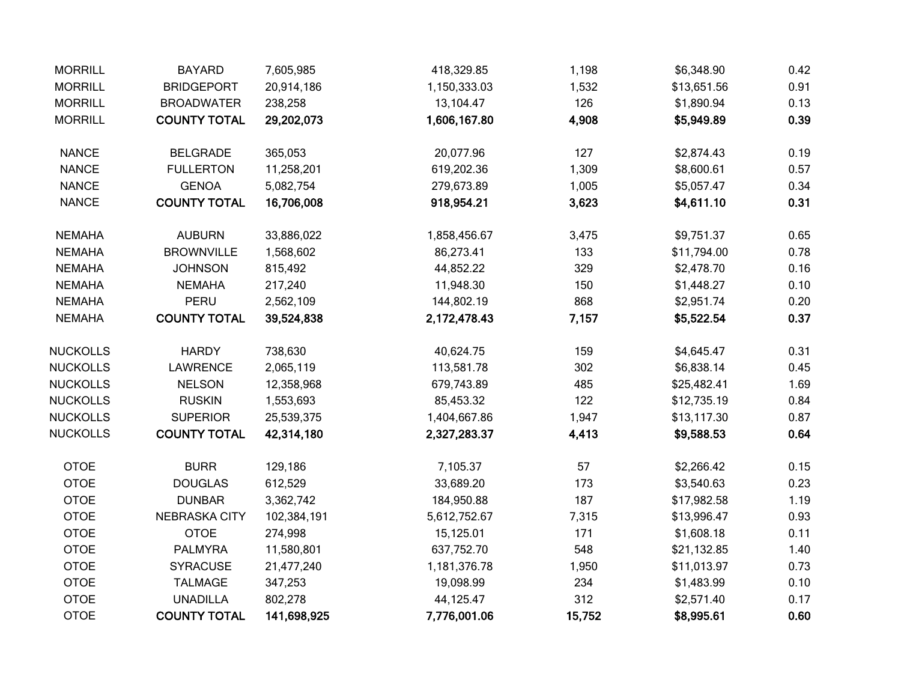| <b>MORRILL</b>  | <b>BAYARD</b>        | 7,605,985   | 418,329.85   | 1,198  | \$6,348.90  | 0.42 |
|-----------------|----------------------|-------------|--------------|--------|-------------|------|
| <b>MORRILL</b>  | <b>BRIDGEPORT</b>    | 20,914,186  | 1,150,333.03 | 1,532  | \$13,651.56 | 0.91 |
| <b>MORRILL</b>  | <b>BROADWATER</b>    | 238,258     | 13,104.47    | 126    | \$1,890.94  | 0.13 |
| <b>MORRILL</b>  | <b>COUNTY TOTAL</b>  | 29,202,073  | 1,606,167.80 | 4,908  | \$5,949.89  | 0.39 |
| <b>NANCE</b>    | <b>BELGRADE</b>      | 365,053     | 20,077.96    | 127    | \$2,874.43  | 0.19 |
| <b>NANCE</b>    | <b>FULLERTON</b>     | 11,258,201  | 619,202.36   | 1,309  | \$8,600.61  | 0.57 |
| <b>NANCE</b>    | <b>GENOA</b>         | 5,082,754   | 279,673.89   | 1,005  | \$5,057.47  | 0.34 |
| <b>NANCE</b>    | <b>COUNTY TOTAL</b>  | 16,706,008  | 918,954.21   | 3,623  | \$4,611.10  | 0.31 |
| <b>NEMAHA</b>   | <b>AUBURN</b>        | 33,886,022  | 1,858,456.67 | 3,475  | \$9,751.37  | 0.65 |
| <b>NEMAHA</b>   | <b>BROWNVILLE</b>    | 1,568,602   | 86,273.41    | 133    | \$11,794.00 | 0.78 |
| <b>NEMAHA</b>   | <b>JOHNSON</b>       | 815,492     | 44,852.22    | 329    | \$2,478.70  | 0.16 |
| <b>NEMAHA</b>   | <b>NEMAHA</b>        | 217,240     | 11,948.30    | 150    | \$1,448.27  | 0.10 |
| <b>NEMAHA</b>   | PERU                 | 2,562,109   | 144,802.19   | 868    | \$2,951.74  | 0.20 |
| <b>NEMAHA</b>   | <b>COUNTY TOTAL</b>  | 39,524,838  | 2,172,478.43 | 7,157  | \$5,522.54  | 0.37 |
| <b>NUCKOLLS</b> | <b>HARDY</b>         | 738,630     | 40,624.75    | 159    | \$4,645.47  | 0.31 |
| <b>NUCKOLLS</b> | <b>LAWRENCE</b>      | 2,065,119   | 113,581.78   | 302    | \$6,838.14  | 0.45 |
| <b>NUCKOLLS</b> | <b>NELSON</b>        | 12,358,968  | 679,743.89   | 485    | \$25,482.41 | 1.69 |
| <b>NUCKOLLS</b> | <b>RUSKIN</b>        | 1,553,693   | 85,453.32    | 122    | \$12,735.19 | 0.84 |
| <b>NUCKOLLS</b> | <b>SUPERIOR</b>      | 25,539,375  | 1,404,667.86 | 1,947  | \$13,117.30 | 0.87 |
| <b>NUCKOLLS</b> | <b>COUNTY TOTAL</b>  | 42,314,180  | 2,327,283.37 | 4,413  | \$9,588.53  | 0.64 |
| <b>OTOE</b>     | <b>BURR</b>          | 129,186     | 7,105.37     | 57     | \$2,266.42  | 0.15 |
| <b>OTOE</b>     | <b>DOUGLAS</b>       | 612,529     | 33,689.20    | 173    | \$3,540.63  | 0.23 |
| <b>OTOE</b>     | <b>DUNBAR</b>        | 3,362,742   | 184,950.88   | 187    | \$17,982.58 | 1.19 |
| <b>OTOE</b>     | <b>NEBRASKA CITY</b> | 102,384,191 | 5,612,752.67 | 7,315  | \$13,996.47 | 0.93 |
| <b>OTOE</b>     | <b>OTOE</b>          | 274,998     | 15,125.01    | 171    | \$1,608.18  | 0.11 |
| <b>OTOE</b>     | <b>PALMYRA</b>       | 11,580,801  | 637,752.70   | 548    | \$21,132.85 | 1.40 |
| <b>OTOE</b>     | <b>SYRACUSE</b>      | 21,477,240  | 1,181,376.78 | 1,950  | \$11,013.97 | 0.73 |
| <b>OTOE</b>     | <b>TALMAGE</b>       | 347,253     | 19,098.99    | 234    | \$1,483.99  | 0.10 |
| <b>OTOE</b>     | <b>UNADILLA</b>      | 802,278     | 44,125.47    | 312    | \$2,571.40  | 0.17 |
| <b>OTOE</b>     | <b>COUNTY TOTAL</b>  | 141,698,925 | 7,776,001.06 | 15,752 | \$8,995.61  | 0.60 |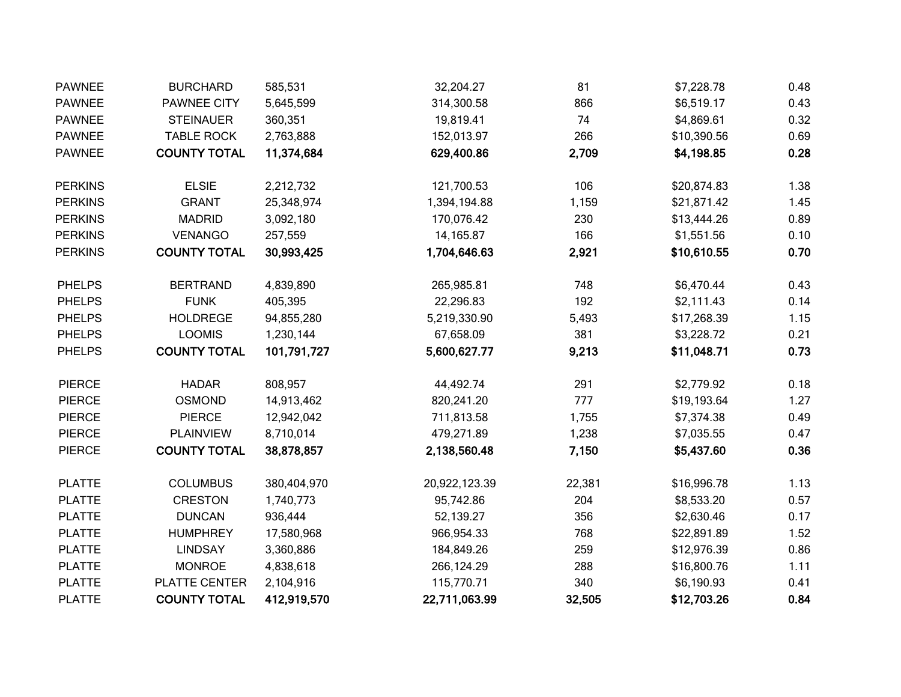| <b>PAWNEE</b>  | <b>BURCHARD</b>     | 585,531     | 32,204.27     | 81     | \$7,228.78  | 0.48 |
|----------------|---------------------|-------------|---------------|--------|-------------|------|
| <b>PAWNEE</b>  | PAWNEE CITY         | 5,645,599   | 314,300.58    | 866    | \$6,519.17  | 0.43 |
| <b>PAWNEE</b>  | <b>STEINAUER</b>    | 360,351     | 19,819.41     | 74     | \$4,869.61  | 0.32 |
| <b>PAWNEE</b>  | <b>TABLE ROCK</b>   | 2,763,888   | 152,013.97    | 266    | \$10,390.56 | 0.69 |
| <b>PAWNEE</b>  | <b>COUNTY TOTAL</b> | 11,374,684  | 629,400.86    | 2,709  | \$4,198.85  | 0.28 |
| <b>PERKINS</b> | <b>ELSIE</b>        | 2,212,732   | 121,700.53    | 106    | \$20,874.83 | 1.38 |
| <b>PERKINS</b> | <b>GRANT</b>        | 25,348,974  | 1,394,194.88  | 1,159  | \$21,871.42 | 1.45 |
| <b>PERKINS</b> | <b>MADRID</b>       | 3,092,180   | 170,076.42    | 230    | \$13,444.26 | 0.89 |
| <b>PERKINS</b> | <b>VENANGO</b>      | 257,559     | 14,165.87     | 166    | \$1,551.56  | 0.10 |
| <b>PERKINS</b> | <b>COUNTY TOTAL</b> | 30,993,425  | 1,704,646.63  | 2,921  | \$10,610.55 | 0.70 |
| <b>PHELPS</b>  | <b>BERTRAND</b>     | 4,839,890   | 265,985.81    | 748    | \$6,470.44  | 0.43 |
| <b>PHELPS</b>  | <b>FUNK</b>         | 405,395     | 22,296.83     | 192    | \$2,111.43  | 0.14 |
| <b>PHELPS</b>  | <b>HOLDREGE</b>     | 94,855,280  | 5,219,330.90  | 5,493  | \$17,268.39 | 1.15 |
| <b>PHELPS</b>  | <b>LOOMIS</b>       | 1,230,144   | 67,658.09     | 381    | \$3,228.72  | 0.21 |
| <b>PHELPS</b>  | <b>COUNTY TOTAL</b> | 101,791,727 | 5,600,627.77  | 9,213  | \$11,048.71 | 0.73 |
| <b>PIERCE</b>  | <b>HADAR</b>        | 808,957     | 44,492.74     | 291    | \$2,779.92  | 0.18 |
| <b>PIERCE</b>  | <b>OSMOND</b>       | 14,913,462  | 820,241.20    | 777    | \$19,193.64 | 1.27 |
| <b>PIERCE</b>  | <b>PIERCE</b>       | 12,942,042  | 711,813.58    | 1,755  | \$7,374.38  | 0.49 |
| <b>PIERCE</b>  | <b>PLAINVIEW</b>    | 8,710,014   | 479,271.89    | 1,238  | \$7,035.55  | 0.47 |
| <b>PIERCE</b>  | <b>COUNTY TOTAL</b> | 38,878,857  | 2,138,560.48  | 7,150  | \$5,437.60  | 0.36 |
| <b>PLATTE</b>  | <b>COLUMBUS</b>     | 380,404,970 | 20,922,123.39 | 22,381 | \$16,996.78 | 1.13 |
| <b>PLATTE</b>  | <b>CRESTON</b>      | 1,740,773   | 95,742.86     | 204    | \$8,533.20  | 0.57 |
| <b>PLATTE</b>  | <b>DUNCAN</b>       | 936,444     | 52,139.27     | 356    | \$2,630.46  | 0.17 |
| <b>PLATTE</b>  | <b>HUMPHREY</b>     | 17,580,968  | 966,954.33    | 768    | \$22,891.89 | 1.52 |
| <b>PLATTE</b>  | <b>LINDSAY</b>      | 3,360,886   | 184,849.26    | 259    | \$12,976.39 | 0.86 |
| <b>PLATTE</b>  | <b>MONROE</b>       | 4,838,618   | 266,124.29    | 288    | \$16,800.76 | 1.11 |
| <b>PLATTE</b>  | PLATTE CENTER       | 2,104,916   | 115,770.71    | 340    | \$6,190.93  | 0.41 |
| <b>PLATTE</b>  | <b>COUNTY TOTAL</b> | 412,919,570 | 22,711,063.99 | 32,505 | \$12,703.26 | 0.84 |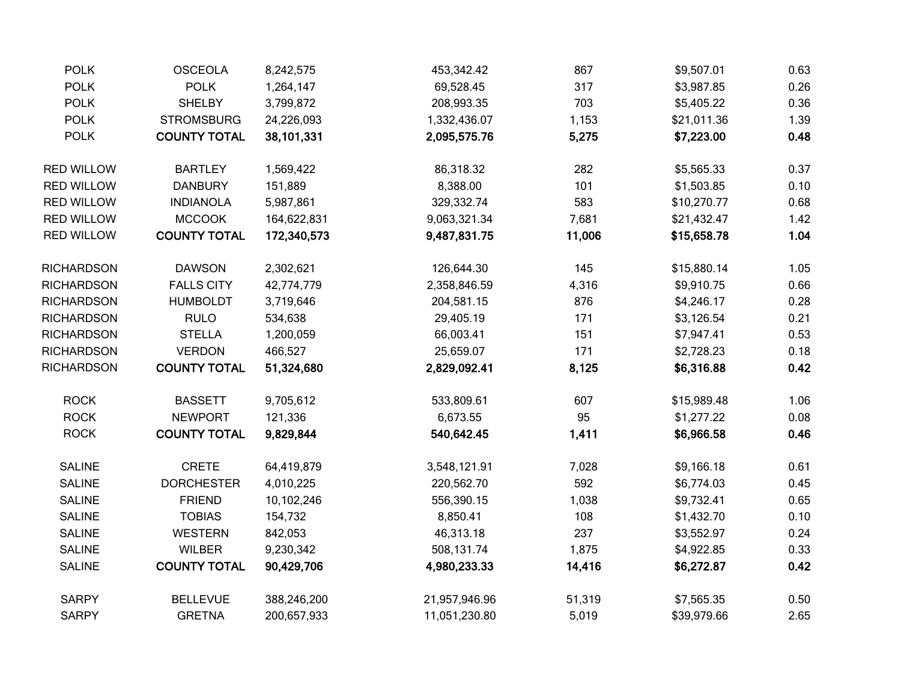| <b>POLK</b>       | <b>OSCEOLA</b>      | 8,242,575   | 453,342.42    | 867    | \$9,507.01  | 0.63 |
|-------------------|---------------------|-------------|---------------|--------|-------------|------|
| <b>POLK</b>       | <b>POLK</b>         | 1,264,147   | 69,528.45     | 317    | \$3,987.85  | 0.26 |
| <b>POLK</b>       | <b>SHELBY</b>       | 3,799,872   | 208,993.35    | 703    | \$5,405.22  | 0.36 |
| <b>POLK</b>       | <b>STROMSBURG</b>   | 24,226,093  | 1,332,436.07  | 1,153  | \$21,011.36 | 1.39 |
| <b>POLK</b>       | <b>COUNTY TOTAL</b> | 38,101,331  | 2,095,575.76  | 5,275  | \$7,223.00  | 0.48 |
| <b>RED WILLOW</b> | <b>BARTLEY</b>      | 1,569,422   | 86,318.32     | 282    | \$5,565.33  | 0.37 |
| <b>RED WILLOW</b> | <b>DANBURY</b>      | 151,889     | 8,388.00      | 101    | \$1,503.85  | 0.10 |
| <b>RED WILLOW</b> | <b>INDIANOLA</b>    | 5,987,861   | 329,332.74    | 583    | \$10,270.77 | 0.68 |
| <b>RED WILLOW</b> | <b>MCCOOK</b>       | 164,622,831 | 9,063,321.34  | 7,681  | \$21,432.47 | 1.42 |
| <b>RED WILLOW</b> | <b>COUNTY TOTAL</b> | 172,340,573 | 9,487,831.75  | 11,006 | \$15,658.78 | 1.04 |
| RICHARDSON        | <b>DAWSON</b>       | 2,302,621   | 126,644.30    | 145    | \$15,880.14 | 1.05 |
| RICHARDSON        | <b>FALLS CITY</b>   | 42,774,779  | 2,358,846.59  | 4,316  | \$9,910.75  | 0.66 |
| <b>RICHARDSON</b> | <b>HUMBOLDT</b>     | 3,719,646   | 204,581.15    | 876    | \$4,246.17  | 0.28 |
| RICHARDSON        | <b>RULO</b>         | 534,638     | 29,405.19     | 171    | \$3,126.54  | 0.21 |
| RICHARDSON        | <b>STELLA</b>       | 1,200,059   | 66,003.41     | 151    | \$7,947.41  | 0.53 |
| RICHARDSON        | <b>VERDON</b>       | 466,527     | 25,659.07     | 171    | \$2,728.23  | 0.18 |
| <b>RICHARDSON</b> | <b>COUNTY TOTAL</b> | 51,324,680  | 2,829,092.41  | 8,125  | \$6,316.88  | 0.42 |
| <b>ROCK</b>       | <b>BASSETT</b>      | 9,705,612   | 533,809.61    | 607    | \$15,989.48 | 1.06 |
| <b>ROCK</b>       | <b>NEWPORT</b>      | 121,336     | 6,673.55      | 95     | \$1,277.22  | 0.08 |
| <b>ROCK</b>       | <b>COUNTY TOTAL</b> | 9,829,844   | 540,642.45    | 1,411  | \$6,966.58  | 0.46 |
| <b>SALINE</b>     | <b>CRETE</b>        | 64,419,879  | 3,548,121.91  | 7,028  | \$9,166.18  | 0.61 |
| <b>SALINE</b>     | <b>DORCHESTER</b>   | 4,010,225   | 220,562.70    | 592    | \$6,774.03  | 0.45 |
| <b>SALINE</b>     | <b>FRIEND</b>       | 10,102,246  | 556,390.15    | 1,038  | \$9,732.41  | 0.65 |
| <b>SALINE</b>     | <b>TOBIAS</b>       | 154,732     | 8,850.41      | 108    | \$1,432.70  | 0.10 |
| <b>SALINE</b>     | <b>WESTERN</b>      | 842,053     | 46,313.18     | 237    | \$3,552.97  | 0.24 |
| <b>SALINE</b>     | <b>WILBER</b>       | 9,230,342   | 508,131.74    | 1,875  | \$4,922.85  | 0.33 |
| <b>SALINE</b>     | <b>COUNTY TOTAL</b> | 90,429,706  | 4,980,233.33  | 14,416 | \$6,272.87  | 0.42 |
| <b>SARPY</b>      | <b>BELLEVUE</b>     | 388,246,200 | 21,957,946.96 | 51,319 | \$7,565.35  | 0.50 |
| <b>SARPY</b>      | <b>GRETNA</b>       | 200,657,933 | 11,051,230.80 | 5,019  | \$39,979.66 | 2.65 |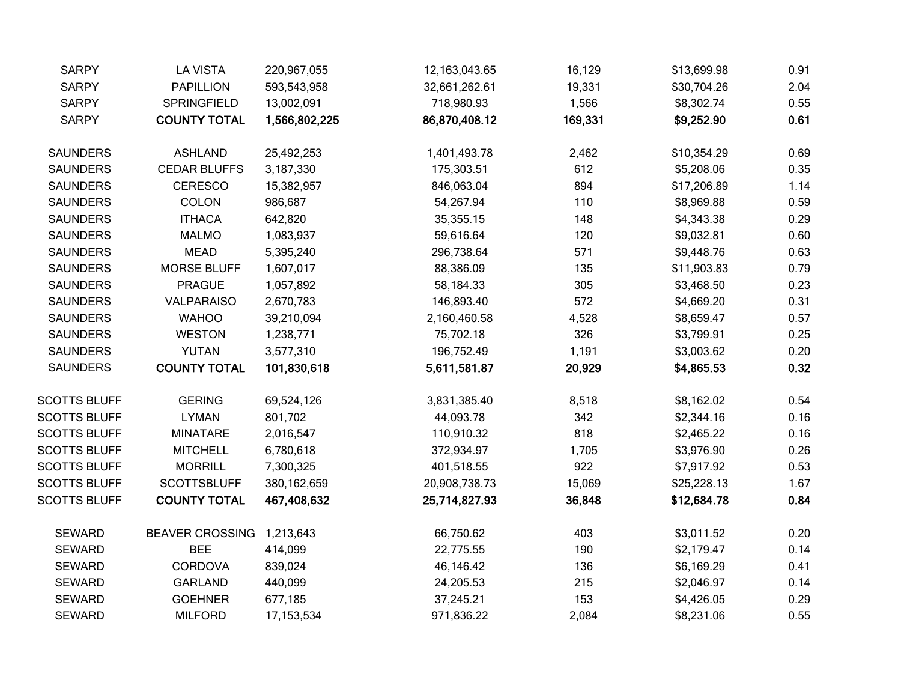| <b>SARPY</b>        | <b>LA VISTA</b>        | 220,967,055   | 12, 163, 043. 65 | 16,129  | \$13,699.98 | 0.91 |
|---------------------|------------------------|---------------|------------------|---------|-------------|------|
| <b>SARPY</b>        | <b>PAPILLION</b>       | 593,543,958   | 32,661,262.61    | 19,331  | \$30,704.26 | 2.04 |
| <b>SARPY</b>        | SPRINGFIELD            | 13,002,091    | 718,980.93       | 1,566   | \$8,302.74  | 0.55 |
| <b>SARPY</b>        | <b>COUNTY TOTAL</b>    | 1,566,802,225 | 86,870,408.12    | 169,331 | \$9,252.90  | 0.61 |
| <b>SAUNDERS</b>     | <b>ASHLAND</b>         | 25,492,253    | 1,401,493.78     | 2,462   | \$10,354.29 | 0.69 |
| <b>SAUNDERS</b>     | <b>CEDAR BLUFFS</b>    | 3,187,330     | 175,303.51       | 612     | \$5,208.06  | 0.35 |
| <b>SAUNDERS</b>     | <b>CERESCO</b>         | 15,382,957    | 846,063.04       | 894     | \$17,206.89 | 1.14 |
| <b>SAUNDERS</b>     | <b>COLON</b>           | 986,687       | 54,267.94        | 110     | \$8,969.88  | 0.59 |
| <b>SAUNDERS</b>     | <b>ITHACA</b>          | 642,820       | 35,355.15        | 148     | \$4,343.38  | 0.29 |
| <b>SAUNDERS</b>     | <b>MALMO</b>           | 1,083,937     | 59,616.64        | 120     | \$9,032.81  | 0.60 |
| <b>SAUNDERS</b>     | <b>MEAD</b>            | 5,395,240     | 296,738.64       | 571     | \$9,448.76  | 0.63 |
| <b>SAUNDERS</b>     | <b>MORSE BLUFF</b>     | 1,607,017     | 88,386.09        | 135     | \$11,903.83 | 0.79 |
| <b>SAUNDERS</b>     | <b>PRAGUE</b>          | 1,057,892     | 58,184.33        | 305     | \$3,468.50  | 0.23 |
| <b>SAUNDERS</b>     | <b>VALPARAISO</b>      | 2,670,783     | 146,893.40       | 572     | \$4,669.20  | 0.31 |
| <b>SAUNDERS</b>     | <b>WAHOO</b>           | 39,210,094    | 2,160,460.58     | 4,528   | \$8,659.47  | 0.57 |
| <b>SAUNDERS</b>     | <b>WESTON</b>          | 1,238,771     | 75,702.18        | 326     | \$3,799.91  | 0.25 |
| <b>SAUNDERS</b>     | <b>YUTAN</b>           | 3,577,310     | 196,752.49       | 1,191   | \$3,003.62  | 0.20 |
| <b>SAUNDERS</b>     | <b>COUNTY TOTAL</b>    | 101,830,618   | 5,611,581.87     | 20,929  | \$4,865.53  | 0.32 |
| <b>SCOTTS BLUFF</b> | <b>GERING</b>          | 69,524,126    | 3,831,385.40     | 8,518   | \$8,162.02  | 0.54 |
| <b>SCOTTS BLUFF</b> | <b>LYMAN</b>           | 801,702       | 44,093.78        | 342     | \$2,344.16  | 0.16 |
| <b>SCOTTS BLUFF</b> | <b>MINATARE</b>        | 2,016,547     | 110,910.32       | 818     | \$2,465.22  | 0.16 |
| <b>SCOTTS BLUFF</b> | <b>MITCHELL</b>        | 6,780,618     | 372,934.97       | 1,705   | \$3,976.90  | 0.26 |
| <b>SCOTTS BLUFF</b> | <b>MORRILL</b>         | 7,300,325     | 401,518.55       | 922     | \$7,917.92  | 0.53 |
| <b>SCOTTS BLUFF</b> | <b>SCOTTSBLUFF</b>     | 380, 162, 659 | 20,908,738.73    | 15,069  | \$25,228.13 | 1.67 |
| <b>SCOTTS BLUFF</b> | <b>COUNTY TOTAL</b>    | 467,408,632   | 25,714,827.93    | 36,848  | \$12,684.78 | 0.84 |
| <b>SEWARD</b>       | <b>BEAVER CROSSING</b> | 1,213,643     | 66,750.62        | 403     | \$3,011.52  | 0.20 |
| <b>SEWARD</b>       | <b>BEE</b>             | 414,099       | 22,775.55        | 190     | \$2,179.47  | 0.14 |
| <b>SEWARD</b>       | <b>CORDOVA</b>         | 839,024       | 46,146.42        | 136     | \$6,169.29  | 0.41 |
| <b>SEWARD</b>       | <b>GARLAND</b>         | 440,099       | 24,205.53        | 215     | \$2,046.97  | 0.14 |
| <b>SEWARD</b>       | <b>GOEHNER</b>         | 677,185       | 37,245.21        | 153     | \$4,426.05  | 0.29 |
| <b>SEWARD</b>       | <b>MILFORD</b>         | 17, 153, 534  | 971,836.22       | 2,084   | \$8,231.06  | 0.55 |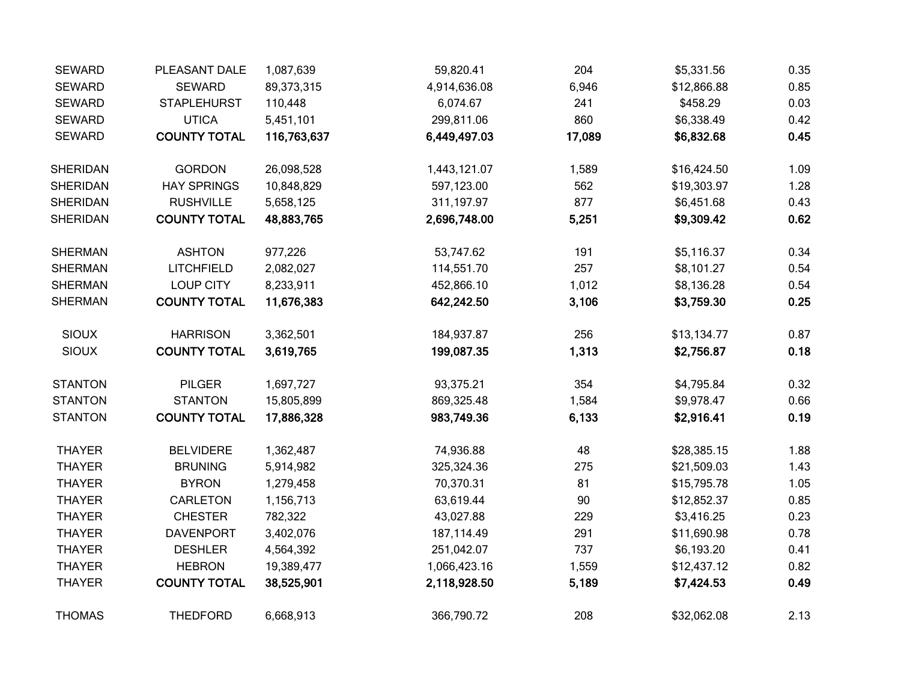| <b>SEWARD</b>   | PLEASANT DALE       | 1,087,639   | 59,820.41    | 204    | \$5,331.56  | 0.35 |
|-----------------|---------------------|-------------|--------------|--------|-------------|------|
| <b>SEWARD</b>   | <b>SEWARD</b>       | 89,373,315  | 4,914,636.08 | 6,946  | \$12,866.88 | 0.85 |
| <b>SEWARD</b>   | <b>STAPLEHURST</b>  | 110,448     | 6,074.67     | 241    | \$458.29    | 0.03 |
| <b>SEWARD</b>   | <b>UTICA</b>        | 5,451,101   | 299,811.06   | 860    | \$6,338.49  | 0.42 |
| <b>SEWARD</b>   | <b>COUNTY TOTAL</b> | 116,763,637 | 6,449,497.03 | 17,089 | \$6,832.68  | 0.45 |
| <b>SHERIDAN</b> | <b>GORDON</b>       | 26,098,528  | 1,443,121.07 | 1,589  | \$16,424.50 | 1.09 |
| <b>SHERIDAN</b> | <b>HAY SPRINGS</b>  | 10,848,829  | 597,123.00   | 562    | \$19,303.97 | 1.28 |
| <b>SHERIDAN</b> | <b>RUSHVILLE</b>    | 5,658,125   | 311,197.97   | 877    | \$6,451.68  | 0.43 |
| <b>SHERIDAN</b> | <b>COUNTY TOTAL</b> | 48,883,765  | 2,696,748.00 | 5,251  | \$9,309.42  | 0.62 |
| <b>SHERMAN</b>  | <b>ASHTON</b>       | 977,226     | 53,747.62    | 191    | \$5,116.37  | 0.34 |
| <b>SHERMAN</b>  | <b>LITCHFIELD</b>   | 2,082,027   | 114,551.70   | 257    | \$8,101.27  | 0.54 |
| <b>SHERMAN</b>  | <b>LOUP CITY</b>    | 8,233,911   | 452,866.10   | 1,012  | \$8,136.28  | 0.54 |
| <b>SHERMAN</b>  | <b>COUNTY TOTAL</b> | 11,676,383  | 642,242.50   | 3,106  | \$3,759.30  | 0.25 |
| <b>SIOUX</b>    | <b>HARRISON</b>     | 3,362,501   | 184,937.87   | 256    | \$13,134.77 | 0.87 |
| <b>SIOUX</b>    | <b>COUNTY TOTAL</b> | 3,619,765   | 199,087.35   | 1,313  | \$2,756.87  | 0.18 |
| <b>STANTON</b>  | <b>PILGER</b>       | 1,697,727   | 93,375.21    | 354    | \$4,795.84  | 0.32 |
| <b>STANTON</b>  | <b>STANTON</b>      | 15,805,899  | 869,325.48   | 1,584  | \$9,978.47  | 0.66 |
| <b>STANTON</b>  | <b>COUNTY TOTAL</b> | 17,886,328  | 983,749.36   | 6,133  | \$2,916.41  | 0.19 |
| <b>THAYER</b>   | <b>BELVIDERE</b>    | 1,362,487   | 74,936.88    | 48     | \$28,385.15 | 1.88 |
| <b>THAYER</b>   | <b>BRUNING</b>      | 5,914,982   | 325,324.36   | 275    | \$21,509.03 | 1.43 |
| <b>THAYER</b>   | <b>BYRON</b>        | 1,279,458   | 70,370.31    | 81     | \$15,795.78 | 1.05 |
| <b>THAYER</b>   | CARLETON            | 1,156,713   | 63,619.44    | 90     | \$12,852.37 | 0.85 |
| <b>THAYER</b>   | <b>CHESTER</b>      | 782,322     | 43,027.88    | 229    | \$3,416.25  | 0.23 |
| <b>THAYER</b>   | <b>DAVENPORT</b>    | 3,402,076   | 187,114.49   | 291    | \$11,690.98 | 0.78 |
| <b>THAYER</b>   | <b>DESHLER</b>      | 4,564,392   | 251,042.07   | 737    | \$6,193.20  | 0.41 |
| <b>THAYER</b>   | <b>HEBRON</b>       | 19,389,477  | 1,066,423.16 | 1,559  | \$12,437.12 | 0.82 |
| <b>THAYER</b>   | <b>COUNTY TOTAL</b> | 38,525,901  | 2,118,928.50 | 5,189  | \$7,424.53  | 0.49 |
| <b>THOMAS</b>   | <b>THEDFORD</b>     | 6,668,913   | 366,790.72   | 208    | \$32,062.08 | 2.13 |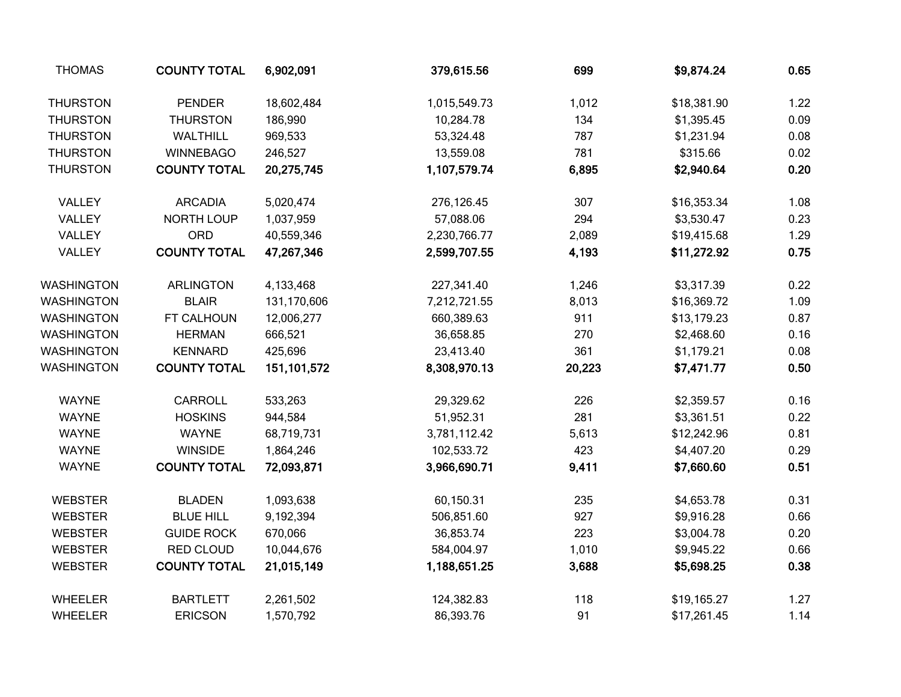| <b>THOMAS</b>   | <b>COUNTY TOTAL</b> | 6,902,091   | 379,615.56   | 699    | \$9,874.24  | 0.65 |
|-----------------|---------------------|-------------|--------------|--------|-------------|------|
| <b>THURSTON</b> | <b>PENDER</b>       | 18,602,484  | 1,015,549.73 | 1,012  | \$18,381.90 | 1.22 |
| <b>THURSTON</b> | <b>THURSTON</b>     | 186,990     | 10,284.78    | 134    | \$1,395.45  | 0.09 |
| <b>THURSTON</b> | WALTHILL            | 969,533     | 53,324.48    | 787    | \$1,231.94  | 0.08 |
| <b>THURSTON</b> | <b>WINNEBAGO</b>    | 246,527     | 13,559.08    | 781    | \$315.66    | 0.02 |
| <b>THURSTON</b> | <b>COUNTY TOTAL</b> | 20,275,745  | 1,107,579.74 | 6,895  | \$2,940.64  | 0.20 |
| VALLEY          | <b>ARCADIA</b>      | 5,020,474   | 276,126.45   | 307    | \$16,353.34 | 1.08 |
| VALLEY          | NORTH LOUP          | 1,037,959   | 57,088.06    | 294    | \$3,530.47  | 0.23 |
| VALLEY          | ORD                 | 40,559,346  | 2,230,766.77 | 2,089  | \$19,415.68 | 1.29 |
| VALLEY          | <b>COUNTY TOTAL</b> | 47,267,346  | 2,599,707.55 | 4,193  | \$11,272.92 | 0.75 |
| WASHINGTON      | <b>ARLINGTON</b>    | 4,133,468   | 227,341.40   | 1,246  | \$3,317.39  | 0.22 |
| WASHINGTON      | <b>BLAIR</b>        | 131,170,606 | 7,212,721.55 | 8,013  | \$16,369.72 | 1.09 |
| WASHINGTON      | FT CALHOUN          | 12,006,277  | 660,389.63   | 911    | \$13,179.23 | 0.87 |
| WASHINGTON      | <b>HERMAN</b>       | 666,521     | 36,658.85    | 270    | \$2,468.60  | 0.16 |
| WASHINGTON      | <b>KENNARD</b>      | 425,696     | 23,413.40    | 361    | \$1,179.21  | 0.08 |
| WASHINGTON      | <b>COUNTY TOTAL</b> | 151,101,572 | 8,308,970.13 | 20,223 | \$7,471.77  | 0.50 |
| <b>WAYNE</b>    | <b>CARROLL</b>      | 533,263     | 29,329.62    | 226    | \$2,359.57  | 0.16 |
| <b>WAYNE</b>    | <b>HOSKINS</b>      | 944,584     | 51,952.31    | 281    | \$3,361.51  | 0.22 |
| <b>WAYNE</b>    | <b>WAYNE</b>        | 68,719,731  | 3,781,112.42 | 5,613  | \$12,242.96 | 0.81 |
| <b>WAYNE</b>    | <b>WINSIDE</b>      | 1,864,246   | 102,533.72   | 423    | \$4,407.20  | 0.29 |
| <b>WAYNE</b>    | <b>COUNTY TOTAL</b> | 72,093,871  | 3,966,690.71 | 9,411  | \$7,660.60  | 0.51 |
| <b>WEBSTER</b>  | <b>BLADEN</b>       | 1,093,638   | 60,150.31    | 235    | \$4,653.78  | 0.31 |
| <b>WEBSTER</b>  | <b>BLUE HILL</b>    | 9,192,394   | 506,851.60   | 927    | \$9,916.28  | 0.66 |
| <b>WEBSTER</b>  | <b>GUIDE ROCK</b>   | 670,066     | 36,853.74    | 223    | \$3,004.78  | 0.20 |
| <b>WEBSTER</b>  | <b>RED CLOUD</b>    | 10,044,676  | 584,004.97   | 1,010  | \$9,945.22  | 0.66 |
| <b>WEBSTER</b>  | <b>COUNTY TOTAL</b> | 21,015,149  | 1,188,651.25 | 3,688  | \$5,698.25  | 0.38 |
| <b>WHEELER</b>  | <b>BARTLETT</b>     | 2,261,502   | 124,382.83   | 118    | \$19,165.27 | 1.27 |
| <b>WHEELER</b>  | <b>ERICSON</b>      | 1,570,792   | 86,393.76    | 91     | \$17,261.45 | 1.14 |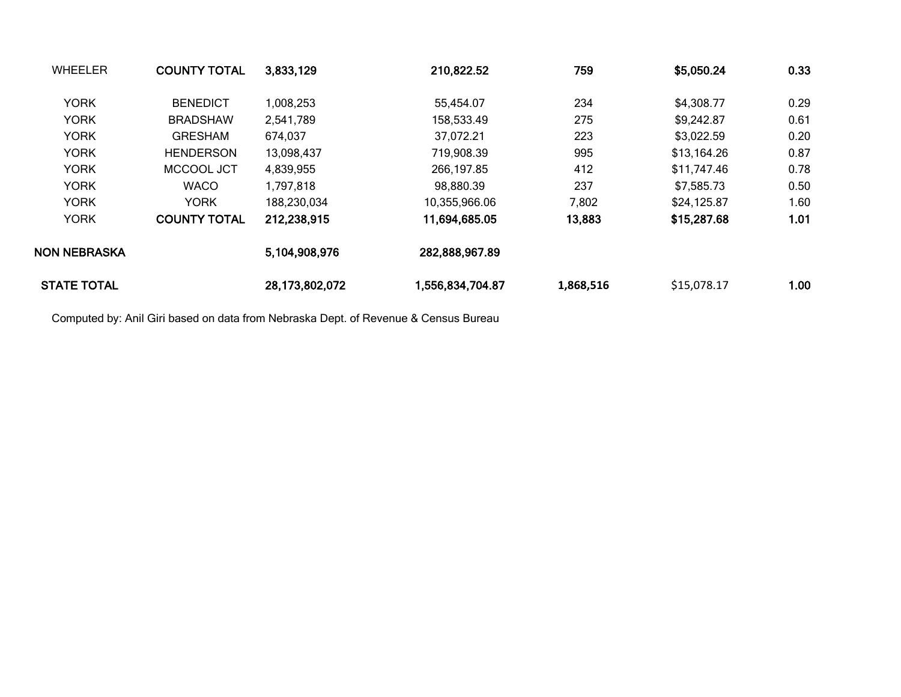| <b>WHEELER</b>     | <b>COUNTY TOTAL</b> | 3,833,129      | 210,822.52       | 759       | \$5,050.24  | 0.33 |
|--------------------|---------------------|----------------|------------------|-----------|-------------|------|
| <b>YORK</b>        | <b>BENEDICT</b>     | 1,008,253      | 55,454.07        | 234       | \$4,308.77  | 0.29 |
| <b>YORK</b>        | <b>BRADSHAW</b>     | 2,541,789      | 158,533.49       | 275       | \$9,242.87  | 0.61 |
| <b>YORK</b>        | <b>GRESHAM</b>      | 674,037        | 37,072.21        | 223       | \$3,022.59  | 0.20 |
| <b>YORK</b>        | <b>HENDERSON</b>    | 13,098,437     | 719,908.39       | 995       | \$13,164.26 | 0.87 |
| <b>YORK</b>        | MCCOOL JCT          | 4,839,955      | 266,197.85       | 412       | \$11,747.46 | 0.78 |
| <b>YORK</b>        | <b>WACO</b>         | 1,797,818      | 98,880.39        | 237       | \$7,585.73  | 0.50 |
| <b>YORK</b>        | <b>YORK</b>         | 188,230,034    | 10,355,966.06    | 7,802     | \$24,125.87 | 1.60 |
| <b>YORK</b>        | <b>COUNTY TOTAL</b> | 212,238,915    | 11,694,685.05    | 13,883    | \$15,287.68 | 1.01 |
| NON NEBRASKA       |                     | 5,104,908,976  | 282,888,967.89   |           |             |      |
| <b>STATE TOTAL</b> |                     | 28,173,802,072 | 1,556,834,704.87 | 1,868,516 | \$15,078.17 | 1.00 |

Computed by: Anil Giri based on data from Nebraska Dept. of Revenue & Census Bureau